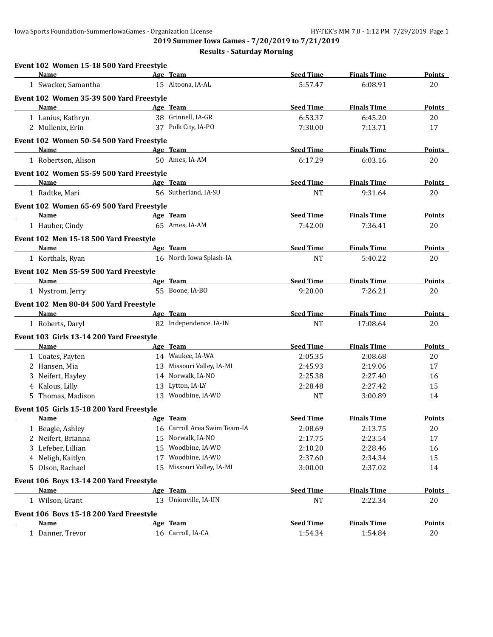| Event 102 Women 15-18 500 Yard Freestyle |    |                              |                  |                    |               |
|------------------------------------------|----|------------------------------|------------------|--------------------|---------------|
| <b>Name</b>                              |    | Age Team                     | <b>Seed Time</b> | <b>Finals Time</b> | Points        |
| 1 Swacker, Samantha                      |    | 15 Altoona, IA-AL            | 5:57.47          | 6:08.91            | 20            |
| Event 102 Women 35-39 500 Yard Freestyle |    |                              |                  |                    |               |
| Name                                     |    | Age Team                     | <b>Seed Time</b> | <b>Finals Time</b> | Points        |
| 1 Lanius, Kathryn                        |    | 38 Grinnell, IA-GR           | 6:53.37          | 6:45.20            | 20            |
| 2 Mullenix, Erin                         |    | 37 Polk City, IA-PO          | 7:30.00          | 7:13.71            | 17            |
| Event 102 Women 50-54 500 Yard Freestyle |    |                              |                  |                    |               |
| <b>Name</b>                              |    | Age Team                     | <b>Seed Time</b> | <b>Finals Time</b> | Points        |
| 1 Robertson, Alison                      |    | 50 Ames, IA-AM               | 6:17.29          | 6:03.16            | 20            |
| Event 102 Women 55-59 500 Yard Freestyle |    |                              |                  |                    |               |
| <b>Name</b>                              |    | Age Team                     | <b>Seed Time</b> | <b>Finals Time</b> | <b>Points</b> |
| 1 Radtke, Mari                           |    | 56 Sutherland, IA-SU         | <b>NT</b>        | 9:31.64            | 20            |
| Event 102 Women 65-69 500 Yard Freestyle |    |                              |                  |                    |               |
| Name                                     |    | Age Team                     | <b>Seed Time</b> | <b>Finals Time</b> | Points        |
| 1 Hauber, Cindy                          |    | 65 Ames, IA-AM               | 7:42.00          | 7:36.41            | 20            |
| Event 102 Men 15-18 500 Yard Freestyle   |    |                              |                  |                    |               |
| <b>Name</b>                              |    | Age Team                     | <b>Seed Time</b> | <b>Finals Time</b> | <b>Points</b> |
| 1 Korthals, Ryan                         |    | 16 North Iowa Splash-IA      | <b>NT</b>        | 5:40.22            | 20            |
| Event 102 Men 55-59 500 Yard Freestyle   |    |                              |                  |                    |               |
| Name                                     |    | Age Team                     | <b>Seed Time</b> | <b>Finals Time</b> | Points        |
| 1 Nystrom, Jerry                         |    | 55 Boone, IA-BO              | 9:20.00          | 7:26.21            | 20            |
| Event 102 Men 80-84 500 Yard Freestyle   |    |                              |                  |                    |               |
| Name                                     |    | Age Team                     | <b>Seed Time</b> | <b>Finals Time</b> | <b>Points</b> |
| 1 Roberts, Daryl                         |    | 82 Independence, IA-IN       | <b>NT</b>        | 17:08.64           | 20            |
| Event 103 Girls 13-14 200 Yard Freestyle |    |                              |                  |                    |               |
| Name                                     |    | Age Team                     | <b>Seed Time</b> | <b>Finals Time</b> | Points        |
| 1 Coates, Payten                         |    | 14 Waukee, IA-WA             | 2:05.35          | 2:08.68            | 20            |
| 2 Hansen, Mia                            |    | 13 Missouri Valley, IA-MI    | 2:45.93          | 2:19.06            | 17            |
| 3 Neifert, Hayley                        |    | 14 Norwalk, IA-NO            | 2:25.38          | 2:27.40            | 16            |
| 4 Kalous, Lilly                          |    | 13 Lytton, IA-LY             | 2:28.48          | 2:27.42            | 15            |
| 5 Thomas, Madison                        |    | 13 Woodbine, IA-WO           | <b>NT</b>        | 3:00.89            | 14            |
| Event 105 Girls 15-18 200 Yard Freestyle |    |                              |                  |                    |               |
| <u>Name</u>                              |    | Age Team                     | <b>Seed Time</b> | <b>Finals Time</b> | <b>Points</b> |
| 1 Beagle, Ashley                         |    | 16 Carroll Area Swim Team-IA | 2:08.69          | 2:13.75            | 20            |
| 2 Neifert, Brianna                       | 15 | Norwalk, IA-NO               | 2:17.75          | 2:23.54            | 17            |
| 3 Lefeber, Lillian                       | 15 | Woodbine, IA-WO              | 2:10.20          | 2:28.46            | 16            |
| 4 Neligh, Kaitlyn                        | 17 | Woodbine, IA-WO              | 2:37.60          | 2:34.34            | 15            |
| 5 Olson, Rachael                         | 15 | Missouri Valley, IA-MI       | 3:00.00          | 2:37.02            | 14            |
| Event 106 Boys 13-14 200 Yard Freestyle  |    |                              |                  |                    |               |
| <u>Name</u>                              |    | Age Team                     | <b>Seed Time</b> | <b>Finals Time</b> | <b>Points</b> |
| 1 Wilson, Grant                          |    | 13 Unionville, IA-UN         | $\rm{NT}$        | 2:22.34            | 20            |
| Event 106 Boys 15-18 200 Yard Freestyle  |    |                              |                  |                    |               |
| Name                                     |    | Age Team                     | <b>Seed Time</b> | <b>Finals Time</b> | <b>Points</b> |
| 1 Danner, Trevor                         |    | 16 Carroll, IA-CA            | 1:54.34          | 1:54.84            | $20\,$        |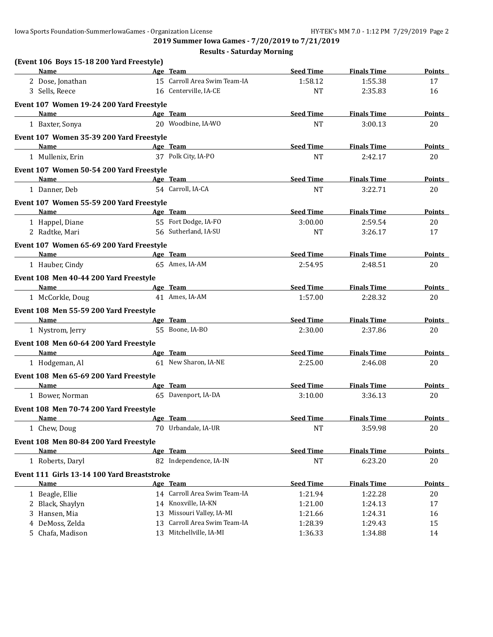**2019 Summer Iowa Games - 7/20/2019 to 7/21/2019**

| (Event 106 Boys 15-18 200 Yard Freestyle)                           |                                                                                                                                                                                                                                                                                                                                                                                                                                                             |                              |                  |                    |               |
|---------------------------------------------------------------------|-------------------------------------------------------------------------------------------------------------------------------------------------------------------------------------------------------------------------------------------------------------------------------------------------------------------------------------------------------------------------------------------------------------------------------------------------------------|------------------------------|------------------|--------------------|---------------|
| <b>Name</b>                                                         |                                                                                                                                                                                                                                                                                                                                                                                                                                                             | Age Team                     | <b>Seed Time</b> | <b>Finals Time</b> | Points        |
| 2 Dose, Jonathan                                                    |                                                                                                                                                                                                                                                                                                                                                                                                                                                             | 15 Carroll Area Swim Team-IA | 1:58.12          | 1:55.38            | 17            |
| 3 Sells, Reece                                                      |                                                                                                                                                                                                                                                                                                                                                                                                                                                             | 16 Centerville, IA-CE        | <b>NT</b>        | 2:35.83            | 16            |
| Event 107 Women 19-24 200 Yard Freestyle                            |                                                                                                                                                                                                                                                                                                                                                                                                                                                             |                              |                  |                    |               |
| <b>Name</b>                                                         |                                                                                                                                                                                                                                                                                                                                                                                                                                                             | Age Team                     | <b>Seed Time</b> | <b>Finals Time</b> | Points        |
| 1 Baxter, Sonya                                                     |                                                                                                                                                                                                                                                                                                                                                                                                                                                             | 20 Woodbine, IA-WO           | NT               | 3:00.13            | 20            |
| Event 107 Women 35-39 200 Yard Freestyle                            |                                                                                                                                                                                                                                                                                                                                                                                                                                                             |                              |                  |                    |               |
| <b>Name</b>                                                         | <b>Example 2016</b> Age Team                                                                                                                                                                                                                                                                                                                                                                                                                                |                              | <b>Seed Time</b> | <b>Finals Time</b> | <b>Points</b> |
| 1 Mullenix, Erin                                                    |                                                                                                                                                                                                                                                                                                                                                                                                                                                             | 37 Polk City, IA-PO          | <b>NT</b>        | 2:42.17            | 20            |
| Event 107 Women 50-54 200 Yard Freestyle                            |                                                                                                                                                                                                                                                                                                                                                                                                                                                             |                              |                  |                    |               |
| Name                                                                | $\mathcal{L}(\mathcal{L}(\mathcal{L}(\mathcal{L}(\mathcal{L}(\mathcal{L}(\mathcal{L}(\mathcal{L}(\mathcal{L}(\mathcal{L}(\mathcal{L}(\mathcal{L}(\mathcal{L}(\mathcal{L}(\mathcal{L}(\mathcal{L}(\mathcal{L}(\mathcal{L}(\mathcal{L}(\mathcal{L}(\mathcal{L}(\mathcal{L}(\mathcal{L}(\mathcal{L}(\mathcal{L}(\mathcal{L}(\mathcal{L}(\mathcal{L}(\mathcal{L}(\mathcal{L}(\mathcal{L}(\mathcal{L}(\mathcal{L}(\mathcal{L}(\mathcal{L}(\mathcal{L}(\mathcal{$ | Age Team                     | <b>Seed Time</b> | <b>Finals Time</b> | Points        |
| 1 Danner, Deb                                                       |                                                                                                                                                                                                                                                                                                                                                                                                                                                             | 54 Carroll, IA-CA            | NT               | 3:22.71            | 20            |
| Event 107 Women 55-59 200 Yard Freestyle                            |                                                                                                                                                                                                                                                                                                                                                                                                                                                             |                              |                  |                    |               |
| Name<br>the control of the control of the control of the control of |                                                                                                                                                                                                                                                                                                                                                                                                                                                             | Age Team                     | <b>Seed Time</b> | <b>Finals Time</b> | <b>Points</b> |
| 1 Happel, Diane                                                     |                                                                                                                                                                                                                                                                                                                                                                                                                                                             | 55 Fort Dodge, IA-FO         | 3:00.00          | 2:59.54            | 20            |
| 2 Radtke, Mari                                                      |                                                                                                                                                                                                                                                                                                                                                                                                                                                             | 56 Sutherland, IA-SU         | <b>NT</b>        | 3:26.17            | 17            |
| Event 107 Women 65-69 200 Yard Freestyle                            |                                                                                                                                                                                                                                                                                                                                                                                                                                                             |                              |                  |                    |               |
| Name                                                                |                                                                                                                                                                                                                                                                                                                                                                                                                                                             | Age Team                     | <b>Seed Time</b> | <b>Finals Time</b> | <b>Points</b> |
| 1 Hauber, Cindy                                                     |                                                                                                                                                                                                                                                                                                                                                                                                                                                             | 65 Ames, IA-AM               | 2:54.95          | 2:48.51            | 20            |
| Event 108 Men 40-44 200 Yard Freestyle                              |                                                                                                                                                                                                                                                                                                                                                                                                                                                             |                              |                  |                    |               |
| Name                                                                |                                                                                                                                                                                                                                                                                                                                                                                                                                                             | Age Team                     | <b>Seed Time</b> | <b>Finals Time</b> | Points        |
| 1 McCorkle, Doug                                                    |                                                                                                                                                                                                                                                                                                                                                                                                                                                             | 41 Ames, IA-AM               | 1:57.00          | 2:28.32            | 20            |
| Event 108 Men 55-59 200 Yard Freestyle                              |                                                                                                                                                                                                                                                                                                                                                                                                                                                             |                              |                  |                    |               |
| <b>Name</b>                                                         |                                                                                                                                                                                                                                                                                                                                                                                                                                                             | Age Team                     | <b>Seed Time</b> | <b>Finals Time</b> | <b>Points</b> |
| 1 Nystrom, Jerry                                                    |                                                                                                                                                                                                                                                                                                                                                                                                                                                             | 55 Boone, IA-BO              | 2:30.00          | 2:37.86            | 20            |
| Event 108 Men 60-64 200 Yard Freestyle                              |                                                                                                                                                                                                                                                                                                                                                                                                                                                             |                              |                  |                    |               |
| Name                                                                |                                                                                                                                                                                                                                                                                                                                                                                                                                                             | Age Team                     | <b>Seed Time</b> | <b>Finals Time</b> | Points        |
| 1 Hodgeman, Al                                                      |                                                                                                                                                                                                                                                                                                                                                                                                                                                             | 61 New Sharon, IA-NE         | 2:25.00          | 2:46.08            | 20            |
| Event 108 Men 65-69 200 Yard Freestyle                              |                                                                                                                                                                                                                                                                                                                                                                                                                                                             |                              |                  |                    |               |
| Name                                                                |                                                                                                                                                                                                                                                                                                                                                                                                                                                             | Age Team                     | <b>Seed Time</b> | <b>Finals Time</b> | Points        |
| 1 Bower, Norman                                                     |                                                                                                                                                                                                                                                                                                                                                                                                                                                             | 65 Davenport, IA-DA          | 3:10.00          | 3:36.13            | 20            |
| Event 108 Men 70-74 200 Yard Freestyle                              |                                                                                                                                                                                                                                                                                                                                                                                                                                                             |                              |                  |                    |               |
| Name                                                                |                                                                                                                                                                                                                                                                                                                                                                                                                                                             | Age Team                     | <b>Seed Time</b> | <b>Finals Time</b> | Points        |
| 1 Chew, Doug                                                        |                                                                                                                                                                                                                                                                                                                                                                                                                                                             | 70 Urbandale, IA-UR          | <b>NT</b>        | 3:59.98            | 20            |
| Event 108 Men 80-84 200 Yard Freestyle                              |                                                                                                                                                                                                                                                                                                                                                                                                                                                             |                              |                  |                    |               |
| Name                                                                |                                                                                                                                                                                                                                                                                                                                                                                                                                                             | Age Team                     | <b>Seed Time</b> | <b>Finals Time</b> | <b>Points</b> |
| 1 Roberts, Daryl                                                    |                                                                                                                                                                                                                                                                                                                                                                                                                                                             | 82 Independence, IA-IN       | <b>NT</b>        | 6:23.20            | 20            |
| Event 111 Girls 13-14 100 Yard Breaststroke                         |                                                                                                                                                                                                                                                                                                                                                                                                                                                             |                              |                  |                    |               |
| <b>Name</b>                                                         |                                                                                                                                                                                                                                                                                                                                                                                                                                                             | Age Team                     | <b>Seed Time</b> | <b>Finals Time</b> | <b>Points</b> |
| 1 Beagle, Ellie                                                     |                                                                                                                                                                                                                                                                                                                                                                                                                                                             | 14 Carroll Area Swim Team-IA | 1:21.94          | 1:22.28            | 20            |
| 2 Black, Shaylyn                                                    |                                                                                                                                                                                                                                                                                                                                                                                                                                                             | 14 Knoxville, IA-KN          | 1:21.00          | 1:24.13            | 17            |
| 3 Hansen, Mia                                                       | 13                                                                                                                                                                                                                                                                                                                                                                                                                                                          | Missouri Valley, IA-MI       | 1:21.66          | 1:24.31            | 16            |
| 4 DeMoss, Zelda                                                     | 13                                                                                                                                                                                                                                                                                                                                                                                                                                                          | Carroll Area Swim Team-IA    | 1:28.39          | 1:29.43            | 15            |
| 5 Chafa, Madison                                                    |                                                                                                                                                                                                                                                                                                                                                                                                                                                             | 13 Mitchellville, IA-MI      | 1:36.33          | 1:34.88            | 14            |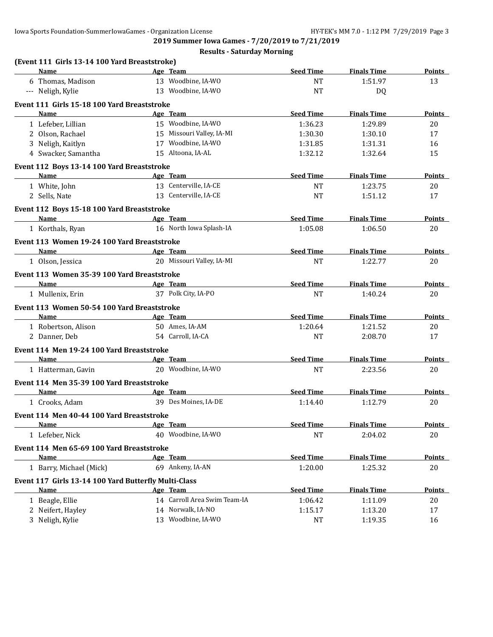**2019 Summer Iowa Games - 7/20/2019 to 7/21/2019**

| (Event 111 Girls 13-14 100 Yard Breaststroke)            |                              |                  |                    |               |
|----------------------------------------------------------|------------------------------|------------------|--------------------|---------------|
| Name                                                     | Age Team                     | <b>Seed Time</b> | <b>Finals Time</b> | Points        |
| 6 Thomas, Madison                                        | 13 Woodbine, IA-WO           | <b>NT</b>        | 1:51.97            | 13            |
| --- Neligh, Kylie                                        | 13 Woodbine, IA-WO           | <b>NT</b>        | DQ                 |               |
| Event 111 Girls 15-18 100 Yard Breaststroke              |                              |                  |                    |               |
| Name                                                     | Age Team                     | <b>Seed Time</b> | <b>Finals Time</b> | Points        |
| 1 Lefeber, Lillian                                       | 15 Woodbine, IA-WO           | 1:36.23          | 1:29.89            | 20            |
| 2 Olson, Rachael                                         | 15 Missouri Valley, IA-MI    | 1:30.30          | 1:30.10            | 17            |
| 3 Neligh, Kaitlyn                                        | 17 Woodbine, IA-WO           | 1:31.85          | 1:31.31            | 16            |
| 4 Swacker, Samantha                                      | 15 Altoona, IA-AL            | 1:32.12          | 1:32.64            | 15            |
| Event 112 Boys 13-14 100 Yard Breaststroke               |                              |                  |                    |               |
| Name                                                     | Age Team                     | <b>Seed Time</b> | <b>Finals Time</b> | Points        |
| 1 White, John                                            | 13 Centerville, IA-CE        | <b>NT</b>        | 1:23.75            | 20            |
| 2 Sells, Nate                                            | 13 Centerville, IA-CE        | <b>NT</b>        | 1:51.12            | 17            |
| Event 112 Boys 15-18 100 Yard Breaststroke               |                              |                  |                    |               |
| Name<br><b>Example 2</b> Age Team                        |                              | <b>Seed Time</b> | <b>Finals Time</b> | Points        |
| 1 Korthals, Ryan                                         | 16 North Iowa Splash-IA      | 1:05.08          | 1:06.50            | 20            |
| Event 113 Women 19-24 100 Yard Breaststroke              |                              |                  |                    |               |
| <b>Name</b>                                              | Age Team                     | <b>Seed Time</b> | <b>Finals Time</b> | <b>Points</b> |
| 1 Olson, Jessica                                         | 20 Missouri Valley, IA-MI    | <b>NT</b>        | 1:22.77            | 20            |
| Event 113 Women 35-39 100 Yard Breaststroke              |                              |                  |                    |               |
| Name                                                     | Age Team                     | <b>Seed Time</b> | <b>Finals Time</b> | Points        |
| 1 Mullenix, Erin                                         | 37 Polk City, IA-PO          | <b>NT</b>        | 1:40.24            | 20            |
| Event 113 Women 50-54 100 Yard Breaststroke              |                              |                  |                    |               |
| Name<br>the control of the control of the control of the | Age Team                     | <b>Seed Time</b> | <b>Finals Time</b> | <b>Points</b> |
| 1 Robertson, Alison                                      | 50 Ames, IA-AM               | 1:20.64          | 1:21.52            | 20            |
| 2 Danner, Deb                                            | 54 Carroll, IA-CA            | <b>NT</b>        | 2:08.70            | 17            |
| Event 114 Men 19-24 100 Yard Breaststroke                |                              |                  |                    |               |
| Name                                                     | Age Team                     | <b>Seed Time</b> | <b>Finals Time</b> | <b>Points</b> |
| 1 Hatterman, Gavin                                       | 20 Woodbine, IA-WO           | <b>NT</b>        | 2:23.56            | 20            |
| Event 114 Men 35-39 100 Yard Breaststroke                |                              |                  |                    |               |
| Name<br><b>Example 2</b> Age Team                        |                              | <b>Seed Time</b> | <b>Finals Time</b> | Points        |
| 1 Crooks, Adam                                           | 39 Des Moines, IA-DE         | 1:14.40          | 1:12.79            | 20            |
| Event 114 Men 40-44 100 Yard Breaststroke                |                              |                  |                    |               |
| <u>Name</u>                                              | Age Team                     | <b>Seed Time</b> | <b>Finals Time</b> | <b>Points</b> |
| 1 Lefeber, Nick                                          | 40 Woodbine, IA-WO           | $\rm{NT}$        | 2:04.02            | $20\,$        |
| Event 114 Men 65-69 100 Yard Breaststroke                |                              |                  |                    |               |
| Name                                                     | Age Team                     | <b>Seed Time</b> | <b>Finals Time</b> | <b>Points</b> |
| 1 Barry, Michael (Mick)                                  | 69 Ankeny, IA-AN             | 1:20.00          | 1:25.32            | 20            |
| Event 117 Girls 13-14 100 Yard Butterfly Multi-Class     |                              |                  |                    |               |
| Name                                                     | Age Team                     | <b>Seed Time</b> | <b>Finals Time</b> | <b>Points</b> |
| 1 Beagle, Ellie                                          | 14 Carroll Area Swim Team-IA | 1:06.42          | 1:11.09            | 20            |
| 2 Neifert, Hayley                                        | 14 Norwalk, IA-NO            | 1:15.17          | 1:13.20            | 17            |
| 3 Neligh, Kylie                                          | 13 Woodbine, IA-WO           | <b>NT</b>        | 1:19.35            | 16            |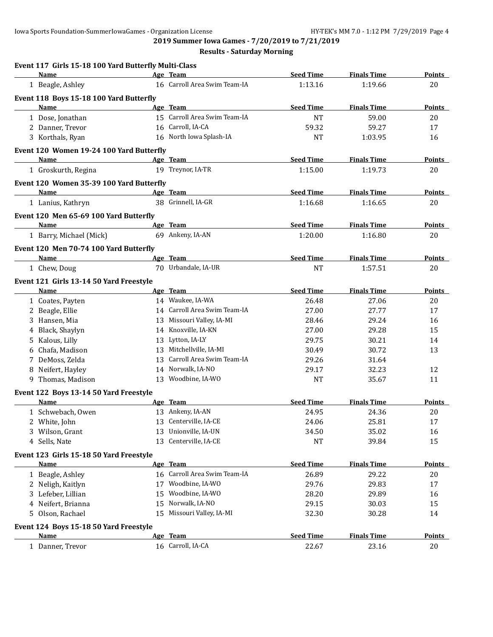|    | Event 117 Girls 15-18 100 Yard Butterfly Multi-Class<br>Name |    | Age Team                                         | <b>Seed Time</b> | <b>Finals Time</b>            | Points        |
|----|--------------------------------------------------------------|----|--------------------------------------------------|------------------|-------------------------------|---------------|
|    | 1 Beagle, Ashley                                             |    | 16 Carroll Area Swim Team-IA                     | 1:13.16          | 1:19.66                       | 20            |
|    | Event 118 Boys 15-18 100 Yard Butterfly                      |    |                                                  |                  |                               |               |
|    | Name                                                         |    | Age Team                                         | <b>Seed Time</b> | <b>Finals Time</b>            | <b>Points</b> |
|    | 1 Dose, Jonathan                                             |    | 15 Carroll Area Swim Team-IA                     | <b>NT</b>        | 59.00                         | 20            |
|    | 2 Danner, Trevor                                             |    | 16 Carroll, IA-CA                                | 59.32            | 59.27                         | 17            |
|    | 3 Korthals, Ryan                                             |    | 16 North Iowa Splash-IA                          | <b>NT</b>        | 1:03.95                       | 16            |
|    | Event 120 Women 19-24 100 Yard Butterfly                     |    |                                                  |                  |                               |               |
|    | Name                                                         |    | Age Team                                         | <b>Seed Time</b> | <b>Finals Time</b>            | <b>Points</b> |
|    | 1 Groskurth, Regina                                          |    | 19 Treynor, IA-TR                                | 1:15.00          | 1:19.73                       | 20            |
|    | Event 120 Women 35-39 100 Yard Butterfly                     |    |                                                  |                  |                               |               |
|    | Name                                                         |    | Age Team                                         | <b>Seed Time</b> | <b>Finals Time</b>            | Points        |
|    | 1 Lanius, Kathryn                                            |    | 38 Grinnell, IA-GR                               | 1:16.68          | 1:16.65                       | 20            |
|    |                                                              |    |                                                  |                  |                               |               |
|    | Event 120 Men 65-69 100 Yard Butterfly<br><b>Name</b>        |    | Age Team                                         | <b>Seed Time</b> | <b>Finals Time</b>            | <b>Points</b> |
|    | 1 Barry, Michael (Mick)                                      |    | 69 Ankeny, IA-AN                                 | 1:20.00          | 1:16.80                       | 20            |
|    |                                                              |    |                                                  |                  |                               |               |
|    | Event 120 Men 70-74 100 Yard Butterfly                       |    | Age Team                                         |                  |                               |               |
|    | Name                                                         |    | 70 Urbandale, IA-UR                              | <b>Seed Time</b> | <b>Finals Time</b><br>1:57.51 | Points        |
|    | 1 Chew, Doug                                                 |    |                                                  | <b>NT</b>        |                               | 20            |
|    | Event 121 Girls 13-14 50 Yard Freestyle                      |    |                                                  |                  |                               |               |
|    | Name                                                         |    | Age Team                                         | <b>Seed Time</b> | <b>Finals Time</b>            | <b>Points</b> |
|    | 1 Coates, Payten                                             |    | 14 Waukee, IA-WA                                 | 26.48            | 27.06                         | 20            |
|    | 2 Beagle, Ellie                                              |    | 14 Carroll Area Swim Team-IA                     | 27.00            | 27.77                         | 17            |
|    | 3 Hansen, Mia                                                |    | 13 Missouri Valley, IA-MI<br>14 Knoxville, IA-KN | 28.46            | 29.24                         | 16            |
|    | 4 Black, Shaylyn                                             |    |                                                  | 27.00            | 29.28                         | 15            |
| 5. | Kalous, Lilly                                                |    | 13 Lytton, IA-LY                                 | 29.75            | 30.21                         | 14            |
|    | Chafa, Madison                                               |    | 13 Mitchellville, IA-MI                          | 30.49            | 30.72                         | 13            |
|    | 7 DeMoss, Zelda                                              | 13 | Carroll Area Swim Team-IA                        | 29.26            | 31.64                         |               |
|    | 8 Neifert, Hayley                                            |    | 14 Norwalk, IA-NO                                | 29.17            | 32.23                         | 12            |
|    | 9 Thomas, Madison                                            | 13 | Woodbine, IA-WO                                  | <b>NT</b>        | 35.67                         | 11            |
|    | Event 122 Boys 13-14 50 Yard Freestyle                       |    |                                                  |                  |                               |               |
|    | Name                                                         |    | Age Team                                         | <b>Seed Time</b> | <b>Finals Time</b>            | <b>Points</b> |
|    | 1 Schwebach, Owen                                            |    | 13 Ankeny, IA-AN                                 | 24.95            | 24.36                         | 20            |
|    | 2 White, John                                                |    | 13 Centerville, IA-CE                            | 24.06            | 25.81                         | 17            |
|    | 3 Wilson, Grant                                              |    | 13 Unionville, IA-UN                             | 34.50            | 35.02                         | 16            |
|    | 4 Sells, Nate                                                | 13 | Centerville, IA-CE                               | <b>NT</b>        | 39.84                         | 15            |
|    | Event 123 Girls 15-18 50 Yard Freestyle                      |    |                                                  |                  |                               |               |
|    | Name                                                         |    | Age Team                                         | <b>Seed Time</b> | <b>Finals Time</b>            | <b>Points</b> |
|    | 1 Beagle, Ashley                                             |    | 16 Carroll Area Swim Team-IA                     | 26.89            | 29.22                         | 20            |
|    | 2 Neligh, Kaitlyn                                            | 17 | Woodbine, IA-WO                                  | 29.76            | 29.83                         | 17            |
|    | 3 Lefeber, Lillian                                           | 15 | Woodbine, IA-WO                                  | 28.20            | 29.89                         | 16            |
|    | 4 Neifert, Brianna                                           | 15 | Norwalk, IA-NO                                   | 29.15            | 30.03                         | 15            |
|    | 5 Olson, Rachael                                             | 15 | Missouri Valley, IA-MI                           | 32.30            | 30.28                         | 14            |
|    | Event 124 Boys 15-18 50 Yard Freestyle                       |    |                                                  |                  |                               |               |
|    | <b>Name</b>                                                  |    | Age Team                                         | <b>Seed Time</b> | <b>Finals Time</b>            | <b>Points</b> |
|    |                                                              |    |                                                  |                  |                               |               |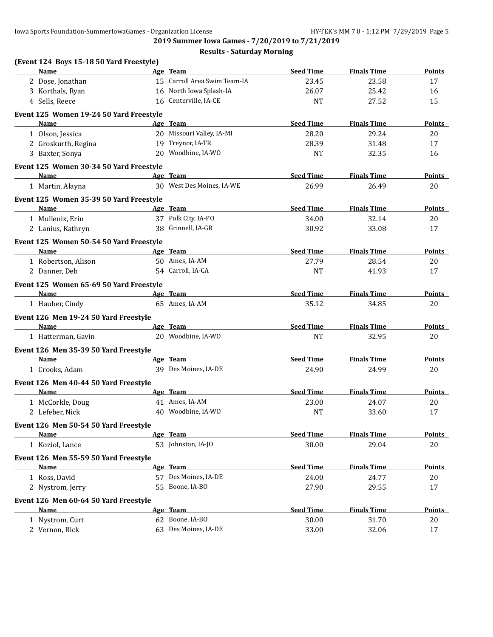**2019 Summer Iowa Games - 7/20/2019 to 7/21/2019**

| (Event 124 Boys 15-18 50 Yard Freestyle) |                              |                  |                    |               |
|------------------------------------------|------------------------------|------------------|--------------------|---------------|
| <b>Name</b>                              | Age Team                     | <b>Seed Time</b> | <b>Finals Time</b> | Points        |
| 2 Dose, Jonathan                         | 15 Carroll Area Swim Team-IA | 23.45            | 23.58              | 17            |
| 3 Korthals, Ryan                         | 16 North Iowa Splash-IA      | 26.07            | 25.42              | 16            |
| 4 Sells, Reece                           | 16 Centerville, IA-CE        | <b>NT</b>        | 27.52              | 15            |
| Event 125 Women 19-24 50 Yard Freestyle  |                              |                  |                    |               |
| Name                                     | Age Team                     | <b>Seed Time</b> | <b>Finals Time</b> | <b>Points</b> |
| 1 Olson, Jessica                         | 20 Missouri Valley, IA-MI    | 28.20            | 29.24              | 20            |
| 2 Groskurth, Regina                      | 19 Treynor, IA-TR            | 28.39            | 31.48              | 17            |
| 3 Baxter, Sonya                          | 20 Woodbine, IA-WO           | <b>NT</b>        | 32.35              | 16            |
| Event 125 Women 30-34 50 Yard Freestyle  |                              |                  |                    |               |
| Name                                     | Age Team                     | <b>Seed Time</b> | <b>Finals Time</b> | Points        |
| 1 Martin, Alayna                         | 30 West Des Moines, IA-WE    | 26.99            | 26.49              | 20            |
| Event 125 Women 35-39 50 Yard Freestyle  |                              |                  |                    |               |
| Name                                     | Age Team                     | <b>Seed Time</b> | <b>Finals Time</b> | <b>Points</b> |
| 1 Mullenix, Erin                         | 37 Polk City, IA-PO          | 34.00            | 32.14              | 20            |
| 2 Lanius, Kathryn                        | 38 Grinnell, IA-GR           | 30.92            | 33.08              | 17            |
| Event 125 Women 50-54 50 Yard Freestyle  |                              |                  |                    |               |
| Name                                     | Age Team                     | <b>Seed Time</b> | <b>Finals Time</b> | <b>Points</b> |
| 1 Robertson, Alison                      | 50 Ames, IA-AM               | 27.79            | 28.54              | 20            |
| 2 Danner, Deb                            | 54 Carroll, IA-CA            | <b>NT</b>        | 41.93              | 17            |
| Event 125 Women 65-69 50 Yard Freestyle  |                              |                  |                    |               |
| <b>Name</b>                              | Age Team                     | <b>Seed Time</b> | <b>Finals Time</b> | <b>Points</b> |
| 1 Hauber, Cindy                          | 65 Ames, IA-AM               | 35.12            | 34.85              | 20            |
| Event 126 Men 19-24 50 Yard Freestyle    |                              |                  |                    |               |
| <b>Name</b>                              | Age Team                     | <b>Seed Time</b> | <b>Finals Time</b> | Points        |
| 1 Hatterman, Gavin                       | 20 Woodbine, IA-WO           | <b>NT</b>        | 32.95              | 20            |
| Event 126 Men 35-39 50 Yard Freestyle    |                              |                  |                    |               |
| <b>Name</b>                              | Age Team                     | <b>Seed Time</b> | <b>Finals Time</b> | <b>Points</b> |
| 1 Crooks, Adam                           | 39 Des Moines, IA-DE         | 24.90            | 24.99              | 20            |
| Event 126 Men 40-44 50 Yard Freestyle    |                              |                  |                    |               |
| Name                                     | Age Team                     | <b>Seed Time</b> | <b>Finals Time</b> | Points        |
| 1 McCorkle, Doug                         | 41 Ames, IA-AM               | 23.00            | 24.07              | 20            |
| 2 Lefeber, Nick                          | 40 Woodbine, IA-WO           | <b>NT</b>        | 33.60              | 17            |
| Event 126 Men 50-54 50 Yard Freestyle    |                              |                  |                    |               |
| <b>Name</b>                              | Age Team                     | <b>Seed Time</b> | <b>Finals Time</b> | Points        |
| 1 Koziol, Lance                          | 53 Johnston, IA-JO           | 30.00            | 29.04              | $20\,$        |
| Event 126 Men 55-59 50 Yard Freestyle    |                              |                  |                    |               |
| Name                                     | Age Team                     | <b>Seed Time</b> | <b>Finals Time</b> | Points        |
| 1 Ross, David                            | 57 Des Moines, IA-DE         | 24.00            | 24.77              | 20            |
| 2 Nystrom, Jerry                         | 55 Boone, IA-BO              | 27.90            | 29.55              | 17            |
| Event 126 Men 60-64 50 Yard Freestyle    |                              |                  |                    |               |
| Name                                     | Age Team                     | <b>Seed Time</b> | <b>Finals Time</b> | <b>Points</b> |
| 1 Nystrom, Curt                          | 62 Boone, IA-BO              | 30.00            | 31.70              | 20            |
| 2 Vernon, Rick                           | 63 Des Moines, IA-DE         | 33.00            | 32.06              | 17            |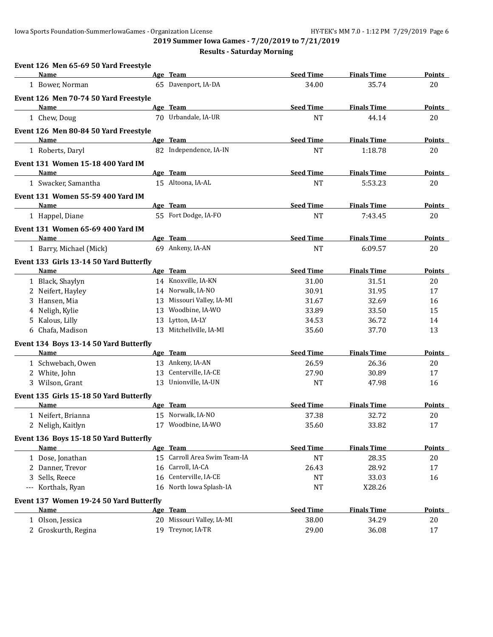**2019 Summer Iowa Games - 7/20/2019 to 7/21/2019**

| Event 126 Men 65-69 50 Yard Freestyle   |                              |                  |                    |               |
|-----------------------------------------|------------------------------|------------------|--------------------|---------------|
| Name                                    | Age Team                     | <b>Seed Time</b> | <b>Finals Time</b> | Points        |
| 1 Bower, Norman                         | 65 Davenport, IA-DA          | 34.00            | 35.74              | 20            |
| Event 126 Men 70-74 50 Yard Freestyle   |                              |                  |                    |               |
| Name                                    | Age Team                     | <b>Seed Time</b> | <b>Finals Time</b> | Points        |
| 1 Chew, Doug                            | 70 Urbandale, IA-UR          | <b>NT</b>        | 44.14              | 20            |
| Event 126 Men 80-84 50 Yard Freestyle   |                              |                  |                    |               |
| <b>Name</b>                             | Age Team                     | <b>Seed Time</b> | <b>Finals Time</b> | <b>Points</b> |
| 1 Roberts, Daryl                        | 82 Independence, IA-IN       | <b>NT</b>        | 1:18.78            | 20            |
| Event 131 Women 15-18 400 Yard IM       |                              |                  |                    |               |
| Name                                    | Age Team                     | <b>Seed Time</b> | <b>Finals Time</b> | Points        |
| 1 Swacker, Samantha                     | 15 Altoona, IA-AL            | <b>NT</b>        | 5:53.23            | 20            |
| Event 131 Women 55-59 400 Yard IM       |                              |                  |                    |               |
| Name                                    | Age Team                     | <b>Seed Time</b> | <b>Finals Time</b> | <b>Points</b> |
| 1 Happel, Diane                         | 55 Fort Dodge, IA-FO         | <b>NT</b>        | 7:43.45            | 20            |
| Event 131 Women 65-69 400 Yard IM       |                              |                  |                    |               |
| Name                                    | Age Team                     | <b>Seed Time</b> | <b>Finals Time</b> | Points        |
| 1 Barry, Michael (Mick)                 | 69 Ankeny, IA-AN             | <b>NT</b>        | 6:09.57            | 20            |
| Event 133 Girls 13-14 50 Yard Butterfly |                              |                  |                    |               |
| Name                                    | Age Team                     | <b>Seed Time</b> | <b>Finals Time</b> | <b>Points</b> |
| 1 Black, Shaylyn                        | 14 Knoxville, IA-KN          | 31.00            | 31.51              | 20            |
| 2 Neifert, Hayley                       | 14 Norwalk, IA-NO            | 30.91            | 31.95              | 17            |
| 3 Hansen, Mia                           | 13 Missouri Valley, IA-MI    | 31.67            | 32.69              | 16            |
| 4 Neligh, Kylie                         | 13 Woodbine, IA-WO           | 33.89            | 33.50              | 15            |
| 5 Kalous, Lilly                         | 13 Lytton, IA-LY             | 34.53            | 36.72              | 14            |
| 6 Chafa, Madison                        | 13 Mitchellville, IA-MI      | 35.60            | 37.70              | 13            |
| Event 134 Boys 13-14 50 Yard Butterfly  |                              |                  |                    |               |
| Name                                    | Age Team                     | <b>Seed Time</b> | <b>Finals Time</b> | <b>Points</b> |
| 1 Schwebach, Owen                       | 13 Ankeny, IA-AN             | 26.59            | 26.36              | 20            |
| 2 White, John                           | 13 Centerville, IA-CE        | 27.90            | 30.89              | 17            |
| 3 Wilson, Grant                         | 13 Unionville, IA-UN         | <b>NT</b>        | 47.98              | 16            |
| Event 135 Girls 15-18 50 Yard Butterfly |                              |                  |                    |               |
| Name                                    | Age Team                     | <b>Seed Time</b> | <b>Finals Time</b> | <b>Points</b> |
| 1 Neifert, Brianna                      | 15 Norwalk, IA-NO            | 37.38            | 32.72              | 20            |
| 2 Neligh, Kaitlyn                       | 17 Woodbine, IA-WO           | 35.60            | 33.82              | 17            |
| Event 136 Boys 15-18 50 Yard Butterfly  |                              |                  |                    |               |
| Name                                    | Age Team                     | <b>Seed Time</b> | <b>Finals Time</b> | <b>Points</b> |
| 1 Dose, Jonathan                        | 15 Carroll Area Swim Team-IA | <b>NT</b>        | 28.35              | 20            |
| 2 Danner, Trevor                        | 16 Carroll, IA-CA            | 26.43            | 28.92              | 17            |
| 3 Sells, Reece                          | 16 Centerville, IA-CE        | <b>NT</b>        | 33.03              | 16            |
| --- Korthals, Ryan                      | 16 North Iowa Splash-IA      | <b>NT</b>        | X28.26             |               |
| Event 137 Women 19-24 50 Yard Butterfly |                              |                  |                    |               |
| Name                                    | Age Team                     | <b>Seed Time</b> | <b>Finals Time</b> | <b>Points</b> |
| 1 Olson, Jessica                        | 20 Missouri Valley, IA-MI    | 38.00            | 34.29              | 20            |
| 2 Groskurth, Regina                     | 19 Treynor, IA-TR            | 29.00            | 36.08              | 17            |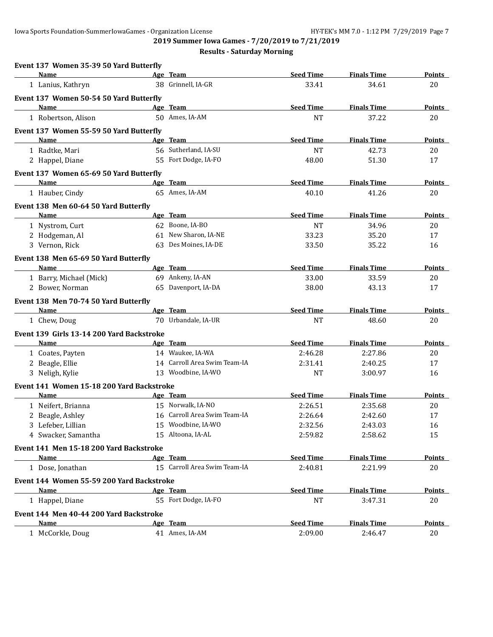| Event 137 Women 35-39 50 Yard Butterfly   |                              |                  |                    |               |
|-------------------------------------------|------------------------------|------------------|--------------------|---------------|
| Name                                      | Age Team                     | <b>Seed Time</b> | <b>Finals Time</b> | Points        |
| 1 Lanius, Kathryn                         | 38 Grinnell, IA-GR           | 33.41            | 34.61              | 20            |
| Event 137 Women 50-54 50 Yard Butterfly   |                              |                  |                    |               |
| Name                                      | Age Team                     | <b>Seed Time</b> | <b>Finals Time</b> | Points        |
| 1 Robertson, Alison                       | 50 Ames, IA-AM               | <b>NT</b>        | 37.22              | 20            |
| Event 137 Women 55-59 50 Yard Butterfly   |                              |                  |                    |               |
| <b>Name</b>                               | Age Team                     | <b>Seed Time</b> | <b>Finals Time</b> | <b>Points</b> |
| 1 Radtke, Mari                            | 56 Sutherland, IA-SU         | <b>NT</b>        | 42.73              | 20            |
| 2 Happel, Diane                           | 55 Fort Dodge, IA-FO         | 48.00            | 51.30              | 17            |
| Event 137 Women 65-69 50 Yard Butterfly   |                              |                  |                    |               |
| <b>Name</b>                               | Age Team                     | <b>Seed Time</b> | <b>Finals Time</b> | <b>Points</b> |
| 1 Hauber, Cindy                           | 65 Ames, IA-AM               | 40.10            | 41.26              | 20            |
| Event 138 Men 60-64 50 Yard Butterfly     |                              |                  |                    |               |
| Name                                      | Age Team                     | <b>Seed Time</b> | <b>Finals Time</b> | Points        |
| 1 Nystrom, Curt                           | 62 Boone, IA-BO              | <b>NT</b>        | 34.96              | 20            |
| 2 Hodgeman, Al                            | 61 New Sharon, IA-NE         | 33.23            | 35.20              | 17            |
| 3 Vernon, Rick                            | 63 Des Moines, IA-DE         | 33.50            | 35.22              | 16            |
| Event 138 Men 65-69 50 Yard Butterfly     |                              |                  |                    |               |
| Name                                      | Age Team                     | <b>Seed Time</b> | <b>Finals Time</b> | <b>Points</b> |
| 1 Barry, Michael (Mick)                   | 69 Ankeny, IA-AN             | 33.00            | 33.59              | 20            |
| 2 Bower, Norman                           | 65 Davenport, IA-DA          | 38.00            | 43.13              | 17            |
| Event 138 Men 70-74 50 Yard Butterfly     |                              |                  |                    |               |
| <b>Name</b>                               | Age Team                     | <b>Seed Time</b> | <b>Finals Time</b> | <b>Points</b> |
| 1 Chew, Doug                              | 70 Urbandale, IA-UR          | <b>NT</b>        | 48.60              | 20            |
| Event 139 Girls 13-14 200 Yard Backstroke |                              |                  |                    |               |
| Name                                      | Age Team                     | <b>Seed Time</b> | <b>Finals Time</b> | Points        |
| 1 Coates, Payten                          | 14 Waukee, IA-WA             | 2:46.28          | 2:27.86            | 20            |
| 2 Beagle, Ellie                           | 14 Carroll Area Swim Team-IA | 2:31.41          | 2:40.25            | 17            |
| 3 Neligh, Kylie                           | 13 Woodbine, IA-WO           | <b>NT</b>        | 3:00.97            | 16            |
| Event 141 Women 15-18 200 Yard Backstroke |                              |                  |                    |               |
| Name                                      | Age Team                     | <b>Seed Time</b> | <b>Finals Time</b> | <b>Points</b> |
| 1 Neifert, Brianna                        | 15 Norwalk, IA-NO            | 2:26.51          | 2:35.68            | 20            |
| 2 Beagle, Ashley                          | 16 Carroll Area Swim Team-IA | 2:26.64          | 2:42.60            | 17            |
| 3 Lefeber, Lillian                        | 15 Woodbine, IA-WO           | 2:32.56          | 2:43.03            | 16            |
| 4 Swacker, Samantha                       | 15 Altoona, IA-AL            | 2:59.82          | 2:58.62            | 15            |
| Event 141 Men 15-18 200 Yard Backstroke   |                              |                  |                    |               |
| Name                                      | Age Team                     | <b>Seed Time</b> | <b>Finals Time</b> | <b>Points</b> |
| 1 Dose, Jonathan                          | 15 Carroll Area Swim Team-IA | 2:40.81          | 2:21.99            | 20            |
| Event 144 Women 55-59 200 Yard Backstroke |                              |                  |                    |               |
| Name                                      | Age Team                     | <b>Seed Time</b> | <b>Finals Time</b> | <b>Points</b> |
| 1 Happel, Diane                           | 55 Fort Dodge, IA-FO         | <b>NT</b>        | 3:47.31            | 20            |
| Event 144 Men 40-44 200 Yard Backstroke   |                              |                  |                    |               |
| <b>Name</b>                               | Age Team                     | <b>Seed Time</b> | <b>Finals Time</b> | <b>Points</b> |
| 1 McCorkle, Doug                          | 41 Ames, IA-AM               | 2:09.00          | 2:46.47            | 20            |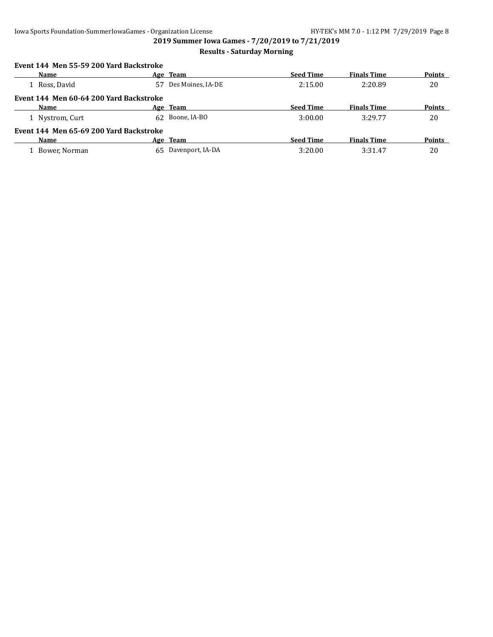## **Results - Saturday Morning**

#### **Event 144 Men 55-59 200 Yard Backstroke**

| Name                                    |     | Age Team            | <b>Seed Time</b> | <b>Finals Time</b> | Points        |
|-----------------------------------------|-----|---------------------|------------------|--------------------|---------------|
| 1 Ross, David                           |     | Des Moines, IA-DE   | 2:15.00          | 2:20.89            | 20            |
| Event 144 Men 60-64 200 Yard Backstroke |     |                     |                  |                    |               |
| Name                                    |     | Age Team            | <b>Seed Time</b> | <b>Finals Time</b> | <b>Points</b> |
| 1 Nystrom, Curt                         | 62. | Boone, IA-BO        | 3:00.00          | 3:29.77            | 20            |
| Event 144 Men 65-69 200 Yard Backstroke |     |                     |                  |                    |               |
| <b>Name</b>                             |     | Age Team            | <b>Seed Time</b> | <b>Finals Time</b> | <b>Points</b> |
| 1 Bower, Norman                         |     | 65 Davenport, IA-DA | 3:20.00          | 3:31.47            | 20            |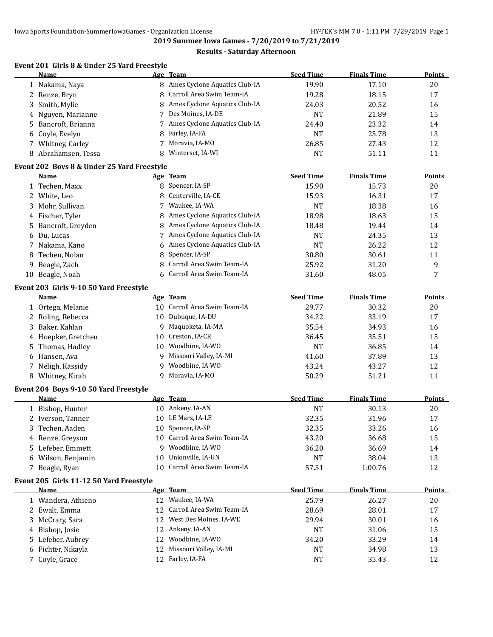#### **Results - Saturday Afternoon**

# **Event 201 Girls 8 & Under 25 Yard Freestyle**

|    | <b>Name</b>                                |    | Age Team                        | <b>Seed Time</b> | <b>Finals Time</b> | <b>Points</b> |
|----|--------------------------------------------|----|---------------------------------|------------------|--------------------|---------------|
|    | 1 Nakama, Naya                             |    | 8 Ames Cyclone Aquatics Club-IA | 19.90            | 17.10              | 20            |
|    | 2 Renze, Bryn                              | 8  | Carroll Area Swim Team-IA       | 19.28            | 18.15              | 17            |
| 3  | Smith, Mylie                               | 8  | Ames Cyclone Aquatics Club-IA   | 24.03            | 20.52              | 16            |
|    | 4 Nguyen, Marianne                         | 7  | Des Moines, IA-DE               | <b>NT</b>        | 21.89              | 15            |
| 5. | Bancroft, Brianna                          | 7  | Ames Cyclone Aquatics Club-IA   | 24.40            | 23.32              | 14            |
| 6  | Coyle, Evelyn                              | 8  | Farley, IA-FA                   | <b>NT</b>        | 25.78              | 13            |
|    | 7 Whitney, Carley                          | 7  | Moravia, IA-MO                  | 26.85            | 27.43              | 12            |
|    | 8 Abrahamsen, Tessa                        |    | Winterset, IA-WI                | <b>NT</b>        | 51.11              | 11            |
|    | Event 202 Boys 8 & Under 25 Yard Freestyle |    |                                 |                  |                    |               |
|    | Name                                       |    | Age Team                        | <b>Seed Time</b> | <b>Finals Time</b> | <b>Points</b> |
|    | 1 Techen, Maxx                             |    | 8 Spencer, IA-SP                | 15.90            | 15.73              | 20            |
|    | 2 White, Leo                               | 8  | Centerville, IA-CE              | 15.93            | 16.31              | 17            |
|    | 3 Mohr, Sullivan                           | 7  | Waukee, IA-WA                   | <b>NT</b>        | 18.38              | 16            |
|    | 4 Fischer, Tyler                           | 8  | Ames Cyclone Aquatics Club-IA   | 18.98            | 18.63              | 15            |
|    | 5 Bancroft, Greyden                        | 8  | Ames Cyclone Aquatics Club-IA   | 18.48            | 19.44              | 14            |
|    | 6 Du, Lucas                                | 7  | Ames Cyclone Aquatics Club-IA   | <b>NT</b>        | 24.35              | 13            |
|    | 7 Nakama, Kano                             | 6  | Ames Cyclone Aquatics Club-IA   | <b>NT</b>        | 26.22              | 12            |
| 8  | Techen, Nolan                              | 8  | Spencer, IA-SP                  | 30.80            | 30.61              | 11            |
| 9  | Beagle, Zach                               | 8  | Carroll Area Swim Team-IA       | 25.92            | 31.20              | 9             |
| 10 | Beagle, Noah                               |    | 6 Carroll Area Swim Team-IA     | 31.60            | 48.05              | 7             |
|    | Event 203 Girls 9-10 50 Yard Freestyle     |    |                                 |                  |                    |               |
|    | Name                                       |    | Age Team                        | <b>Seed Time</b> | <b>Finals Time</b> | <b>Points</b> |
|    | 1 Ortega, Melanie                          |    | 10 Carroll Area Swim Team-IA    | 29.77            | 30.32              | 20            |
|    | 2 Roling, Rebecca                          |    | 10 Dubuque, IA-DU               | 34.22            | 33.19              | 17            |
| 3  | Baker, Kahlan                              | 9  | Maquoketa, IA-MA                | 35.54            | 34.93              | 16            |
|    | 4 Hoepker, Gretchen                        | 10 | Creston, IA-CR                  | 36.45            | 35.51              | 15            |
| 5. | Thomas, Hadley                             | 10 | Woodbine, IA-WO                 | <b>NT</b>        | 36.85              | 14            |
|    | 6 Hansen, Ava                              | 9  | Missouri Valley, IA-MI          | 41.60            | 37.89              | 13            |
|    | 7 Neligh, Kassidy                          | 9  | Woodbine, IA-WO                 | 43.24            | 43.27              | 12            |
|    | 8 Whitney, Kirah                           | 9  | Moravia, IA-MO                  | 50.29            | 51.21              | 11            |
|    | Event 204 Boys 9-10 50 Yard Freestyle      |    |                                 |                  |                    |               |
|    | Name                                       |    | Age Team                        | <b>Seed Time</b> | <b>Finals Time</b> | Points        |
|    | 1 Bishop, Hunter                           |    | 10 Ankeny, IA-AN                | <b>NT</b>        | 30.13              | 20            |
|    | 2 Iverson, Tanner                          |    | 10 LE Mars, IA-LE               | 32.35            | 31.96              | 17            |
| 3  | Techen, Aaden                              |    | 10 Spencer, IA-SP               | 32.35            | 33.26              | 16            |
|    | 4 Renze, Greyson                           |    | 10 Carroll Area Swim Team-IA    | 43.20            | 36.68              | 15            |
|    | 5 Lefeber, Emmett                          | 9  | Woodbine, IA-WO                 | 36.20            | 36.69              | 14            |
|    | 6 Wilson, Benjamin                         | 10 | Unionville, IA-UN               | <b>NT</b>        | 38.04              | 13            |
|    | 7 Beagle, Ryan                             |    | 10 Carroll Area Swim Team-IA    | 57.51            | 1:00.76            | 12            |
|    | Event 205 Girls 11-12 50 Yard Freestyle    |    |                                 |                  |                    |               |
|    | <u>Name</u>                                |    | Age Team                        | <b>Seed Time</b> | <b>Finals Time</b> | <b>Points</b> |
|    | 1 Wandera, Athieno                         |    | 12 Waukee, IA-WA                | 25.79            | 26.27              | 20            |
|    | 2 Ewalt, Emma                              | 12 | Carroll Area Swim Team-IA       | 28.69            | 28.01              | 17            |
|    | 3 McCrary, Sara                            | 12 | West Des Moines, IA-WE          | 29.94            | 30.01              | 16            |
|    | 4 Bishop, Josie                            | 12 | Ankeny, IA-AN                   | <b>NT</b>        | 31.06              | 15            |
|    | 5 Lefeber, Aubrey                          | 12 | Woodbine, IA-WO                 | 34.20            | 33.29              | 14            |
|    | 6 Fichter, Nikayla                         | 12 | Missouri Valley, IA-MI          | <b>NT</b>        | 34.98              | 13            |
| 7. | Coyle, Grace                               | 12 | Farley, IA-FA                   | <b>NT</b>        | 35.43              | 12            |
|    |                                            |    |                                 |                  |                    |               |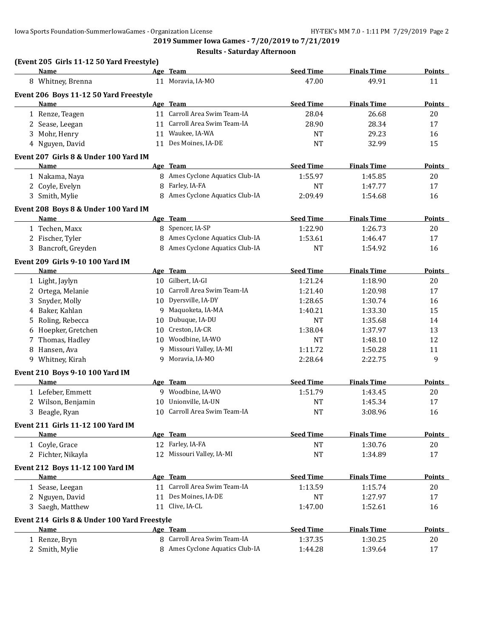|   | (Event 205 Girls 11-12 50 Yard Freestyle)    |    |                                 |                  |                    |               |
|---|----------------------------------------------|----|---------------------------------|------------------|--------------------|---------------|
|   | Name                                         |    | Age Team                        | <b>Seed Time</b> | <b>Finals Time</b> | Points        |
|   | 8 Whitney, Brenna                            |    | 11 Moravia, IA-MO               | 47.00            | 49.91              | 11            |
|   | Event 206 Boys 11-12 50 Yard Freestyle       |    |                                 |                  |                    |               |
|   | Name                                         |    | Age Team                        | <b>Seed Time</b> | <b>Finals Time</b> | <b>Points</b> |
|   | 1 Renze, Teagen                              |    | 11 Carroll Area Swim Team-IA    | 28.04            | 26.68              | 20            |
|   | 2 Sease, Leegan                              |    | 11 Carroll Area Swim Team-IA    | 28.90            | 28.34              | 17            |
|   | 3 Mohr, Henry                                |    | 11 Waukee, IA-WA                | <b>NT</b>        | 29.23              | 16            |
|   | 4 Nguyen, David                              |    | 11 Des Moines, IA-DE            | <b>NT</b>        | 32.99              | 15            |
|   | Event 207 Girls 8 & Under 100 Yard IM        |    |                                 |                  |                    |               |
|   | Name                                         |    | Age Team                        | <b>Seed Time</b> | <b>Finals Time</b> | <b>Points</b> |
|   | 1 Nakama, Naya                               |    | 8 Ames Cyclone Aquatics Club-IA | 1:55.97          | 1:45.85            | 20            |
|   | 2 Coyle, Evelyn                              | 8  | Farley, IA-FA                   | <b>NT</b>        | 1:47.77            | 17            |
|   | 3 Smith, Mylie                               | 8  | Ames Cyclone Aquatics Club-IA   | 2:09.49          | 1:54.68            | 16            |
|   | Event 208 Boys 8 & Under 100 Yard IM         |    |                                 |                  |                    |               |
|   | Name                                         |    | Age Team                        | <b>Seed Time</b> | <b>Finals Time</b> | Points        |
|   | 1 Techen, Maxx                               |    | 8 Spencer, IA-SP                | 1:22.90          | 1:26.73            | 20            |
|   | 2 Fischer, Tyler                             | 8  | Ames Cyclone Aquatics Club-IA   | 1:53.61          | 1:46.47            | 17            |
|   | 3 Bancroft, Greyden                          | 8  | Ames Cyclone Aquatics Club-IA   | <b>NT</b>        | 1:54.92            | 16            |
|   | <b>Event 209 Girls 9-10 100 Yard IM</b>      |    |                                 |                  |                    |               |
|   | Name                                         |    | Age Team                        | <b>Seed Time</b> | <b>Finals Time</b> | <b>Points</b> |
|   | 1 Light, Jaylyn                              |    | 10 Gilbert, IA-GI               | 1:21.24          | 1:18.90            | 20            |
|   | 2 Ortega, Melanie                            | 10 | Carroll Area Swim Team-IA       | 1:21.40          | 1:20.98            | 17            |
| 3 | Snyder, Molly                                | 10 | Dyersville, IA-DY               | 1:28.65          | 1:30.74            | 16            |
| 4 | Baker, Kahlan                                | 9  | Maquoketa, IA-MA                | 1:40.21          | 1:33.30            | 15            |
| 5 | Roling, Rebecca                              | 10 | Dubuque, IA-DU                  | <b>NT</b>        | 1:35.68            | 14            |
| 6 | Hoepker, Gretchen                            | 10 | Creston, IA-CR                  | 1:38.04          | 1:37.97            | 13            |
| 7 | Thomas, Hadley                               | 10 | Woodbine, IA-WO                 | <b>NT</b>        | 1:48.10            | 12            |
| 8 | Hansen, Ava                                  | 9  | Missouri Valley, IA-MI          | 1:11.72          | 1:50.28            | 11            |
|   | 9 Whitney, Kirah                             | q  | Moravia, IA-MO                  | 2:28.64          | 2:22.75            | 9             |
|   |                                              |    |                                 |                  |                    |               |
|   | Event 210 Boys 9-10 100 Yard IM              |    |                                 |                  | <b>Finals Time</b> |               |
|   | Name                                         |    | Age Team                        | <b>Seed Time</b> |                    | Points        |
|   | 1 Lefeber, Emmett                            |    | 9 Woodbine, IA-WO               | 1:51.79          | 1:43.45            | 20            |
|   | 2 Wilson, Benjamin                           | 10 | Unionville, IA-UN               | NT               | 1:45.34            | 17            |
|   | 3 Beagle, Ryan                               |    | 10 Carroll Area Swim Team-IA    | <b>NT</b>        | 3:08.96            | 16            |
|   | Event 211 Girls 11-12 100 Yard IM            |    |                                 |                  |                    |               |
|   | Name                                         |    | Age Team                        | <b>Seed Time</b> | <b>Finals Time</b> | Points        |
|   | 1 Coyle, Grace                               |    | 12 Farley, IA-FA                | NT               | 1:30.76            | 20            |
|   | 2 Fichter, Nikayla                           |    | 12 Missouri Valley, IA-MI       | NT               | 1:34.89            | 17            |
|   | Event 212 Boys 11-12 100 Yard IM             |    |                                 |                  |                    |               |
|   | <b>Name</b>                                  |    | Age Team                        | <b>Seed Time</b> | <b>Finals Time</b> | <b>Points</b> |
|   | 1 Sease, Leegan                              |    | 11 Carroll Area Swim Team-IA    | 1:13.59          | 1:15.74            | 20            |
|   | 2 Nguyen, David                              |    | 11 Des Moines, IA-DE            | <b>NT</b>        | 1:27.97            | 17            |
|   | 3 Saegh, Matthew                             |    | 11 Clive, IA-CL                 | 1:47.00          | 1:52.61            | 16            |
|   | Event 214 Girls 8 & Under 100 Yard Freestyle |    |                                 |                  |                    |               |
|   | Name                                         |    | Age Team                        | <b>Seed Time</b> | <b>Finals Time</b> | <b>Points</b> |
|   | 1 Renze, Bryn                                |    | 8 Carroll Area Swim Team-IA     | 1:37.35          | 1:30.25            | 20            |
|   | 2 Smith, Mylie                               |    | 8 Ames Cyclone Aquatics Club-IA | 1:44.28          | 1:39.64            | 17            |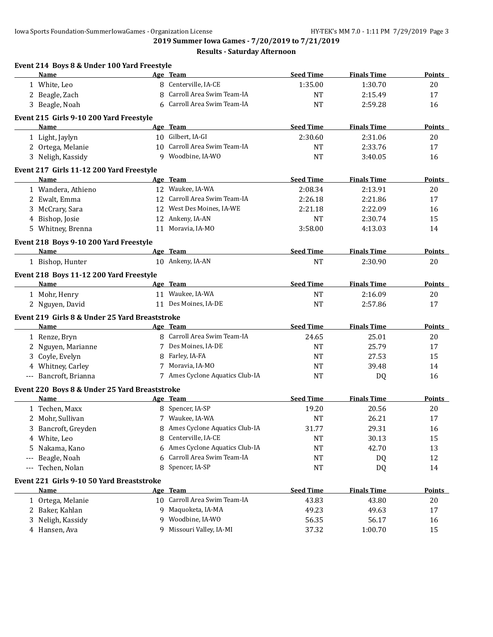**2019 Summer Iowa Games - 7/20/2019 to 7/21/2019**

|       | Event 214 Boys 8 & Under 100 Yard Freestyle<br>Name |    | Age Team                        | <b>Seed Time</b> | <b>Finals Time</b> | Points        |
|-------|-----------------------------------------------------|----|---------------------------------|------------------|--------------------|---------------|
|       | 1 White, Leo                                        |    | 8 Centerville, IA-CE            | 1:35.00          | 1:30.70            | 20            |
|       | 2 Beagle, Zach                                      | 8  | Carroll Area Swim Team-IA       | <b>NT</b>        | 2:15.49            | 17            |
|       | 3 Beagle, Noah                                      | 6  | Carroll Area Swim Team-IA       | <b>NT</b>        | 2:59.28            | 16            |
|       | Event 215 Girls 9-10 200 Yard Freestyle             |    |                                 |                  |                    |               |
|       | Name                                                |    | Age Team                        | <b>Seed Time</b> | <b>Finals Time</b> | <b>Points</b> |
|       | 1 Light, Jaylyn                                     |    | 10 Gilbert, IA-GI               | 2:30.60          | 2:31.06            | 20            |
|       | 2 Ortega, Melanie                                   |    | 10 Carroll Area Swim Team-IA    | NT               | 2:33.76            | 17            |
|       | 3 Neligh, Kassidy                                   | 9  | Woodbine, IA-WO                 | <b>NT</b>        | 3:40.05            | 16            |
|       | Event 217 Girls 11-12 200 Yard Freestyle            |    |                                 |                  |                    |               |
|       | Name                                                |    | Age Team                        | <b>Seed Time</b> | <b>Finals Time</b> | <b>Points</b> |
|       | 1 Wandera, Athieno                                  |    | 12 Waukee, IA-WA                | 2:08.34          | 2:13.91            | 20            |
|       | 2 Ewalt, Emma                                       |    | 12 Carroll Area Swim Team-IA    | 2:26.18          | 2:21.86            | 17            |
|       | 3 McCrary, Sara                                     |    | 12 West Des Moines, IA-WE       | 2:21.18          | 2:22.09            | 16            |
|       | 4 Bishop, Josie                                     |    | 12 Ankeny, IA-AN                | <b>NT</b>        | 2:30.74            | 15            |
|       | 5 Whitney, Brenna                                   |    | 11 Moravia, IA-MO               | 3:58.00          | 4:13.03            | 14            |
|       | Event 218 Boys 9-10 200 Yard Freestyle              |    |                                 |                  |                    |               |
|       | Name                                                |    | Age Team                        | <b>Seed Time</b> | <b>Finals Time</b> | Points        |
|       | 1 Bishop, Hunter                                    |    | 10 Ankeny, IA-AN                | <b>NT</b>        | 2:30.90            | 20            |
|       | Event 218 Boys 11-12 200 Yard Freestyle             |    |                                 |                  |                    |               |
|       | Name                                                |    | Age Team                        | <b>Seed Time</b> | <b>Finals Time</b> | <b>Points</b> |
|       | 1 Mohr, Henry                                       |    | 11 Waukee, IA-WA                | <b>NT</b>        | 2:16.09            | 20            |
|       | 2 Nguyen, David                                     |    | 11 Des Moines, IA-DE            | <b>NT</b>        | 2:57.86            | 17            |
|       | Event 219 Girls 8 & Under 25 Yard Breaststroke      |    |                                 |                  |                    |               |
|       | Name                                                |    | Age Team                        | <b>Seed Time</b> | <b>Finals Time</b> | Points        |
|       | 1 Renze, Bryn                                       |    | 8 Carroll Area Swim Team-IA     | 24.65            | 25.01              | 20            |
|       | 2 Nguyen, Marianne                                  |    | 7 Des Moines, IA-DE             | <b>NT</b>        | 25.79              | 17            |
|       | 3 Coyle, Evelyn                                     | 8  | Farley, IA-FA                   | <b>NT</b>        | 27.53              | 15            |
|       | 4 Whitney, Carley                                   |    | 7 Moravia, IA-MO                | <b>NT</b>        | 39.48              | 14            |
|       | --- Bancroft, Brianna                               |    | 7 Ames Cyclone Aquatics Club-IA | <b>NT</b>        | DQ                 | 16            |
|       | Event 220 Boys 8 & Under 25 Yard Breaststroke       |    |                                 |                  |                    |               |
|       | Name                                                |    | Age Team                        | <b>Seed Time</b> | <b>Finals Time</b> | Points        |
|       | 1 Techen, Maxx                                      |    | 8 Spencer, IA-SP                | 19.20            | 20.56              | 20            |
|       | 2 Mohr, Sullivan                                    |    | 7 Waukee, IA-WA                 | <b>NT</b>        | 26.21              | 17            |
|       | 3 Bancroft, Greyden                                 | 8  | Ames Cyclone Aquatics Club-IA   | 31.77            | 29.31              | 16            |
| 4     | White, Leo                                          | 8  | Centerville, IA-CE              | <b>NT</b>        | 30.13              | 15            |
| 5     | Nakama, Kano                                        | 6  | Ames Cyclone Aquatics Club-IA   | <b>NT</b>        | 42.70              | 13            |
| $---$ | Beagle, Noah                                        | 6  | Carroll Area Swim Team-IA       | <b>NT</b>        | DQ                 | 12            |
| $---$ | Techen, Nolan                                       | 8  | Spencer, IA-SP                  | NT               | DQ                 | 14            |
|       | Event 221 Girls 9-10 50 Yard Breaststroke           |    |                                 |                  |                    |               |
|       | <u>Name</u>                                         |    | Age Team                        | <b>Seed Time</b> | <b>Finals Time</b> | <b>Points</b> |
|       | 1 Ortega, Melanie                                   | 10 | Carroll Area Swim Team-IA       | 43.83            | 43.80              | 20            |
| 2     | Baker, Kahlan                                       | 9  | Maquoketa, IA-MA                | 49.23            | 49.63              | 17            |
|       |                                                     |    |                                 |                  |                    |               |
| 3     | Neligh, Kassidy                                     | 9  | Woodbine, IA-WO                 | 56.35            | 56.17              | 16            |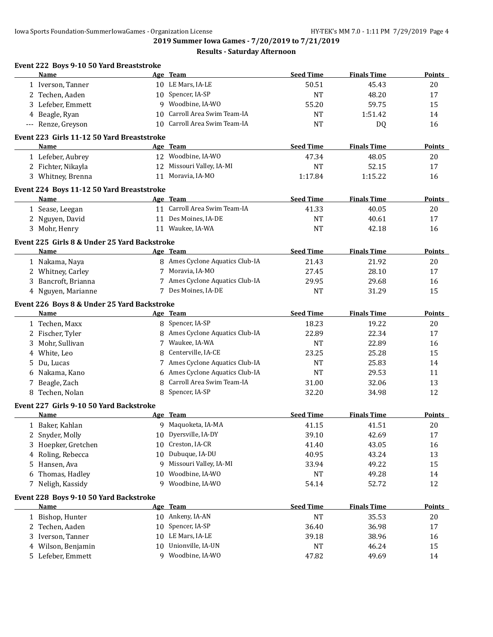**2019 Summer Iowa Games - 7/20/2019 to 7/21/2019**

|         | Event 222 Boys 9-10 50 Yard Breaststroke<br>Name     |          | Age Team                        | <b>Seed Time</b>   | <b>Finals Time</b> | Points        |
|---------|------------------------------------------------------|----------|---------------------------------|--------------------|--------------------|---------------|
|         | 1 Iverson, Tanner                                    |          | 10 LE Mars, IA-LE               | 50.51              | 45.43              | 20            |
|         | 2 Techen, Aaden                                      |          | 10 Spencer, IA-SP               | <b>NT</b>          | 48.20              | 17            |
|         | 3 Lefeber, Emmett                                    | 9        | Woodbine, IA-WO                 | 55.20              | 59.75              | 15            |
|         | 4 Beagle, Ryan                                       | 10       | Carroll Area Swim Team-IA       | <b>NT</b>          | 1:51.42            | 14            |
|         | --- Renze, Greyson                                   | 10       | Carroll Area Swim Team-IA       | <b>NT</b>          | DQ                 | 16            |
|         | Event 223 Girls 11-12 50 Yard Breaststroke           |          |                                 |                    |                    |               |
|         | Name                                                 |          | Age Team                        | <b>Seed Time</b>   | <b>Finals Time</b> | Points        |
|         | 1 Lefeber, Aubrey                                    |          | 12 Woodbine, IA-WO              | 47.34              | 48.05              | 20            |
|         | 2 Fichter, Nikayla                                   |          | 12 Missouri Valley, IA-MI       | <b>NT</b>          | 52.15              | 17            |
|         | 3 Whitney, Brenna                                    |          | 11 Moravia, IA-MO               | 1:17.84            | 1:15.22            | 16            |
|         | Event 224 Boys 11-12 50 Yard Breaststroke            |          |                                 |                    |                    |               |
|         | Name                                                 |          | Age Team                        | <b>Seed Time</b>   | <b>Finals Time</b> | <b>Points</b> |
|         | 1 Sease, Leegan                                      |          | 11 Carroll Area Swim Team-IA    | 41.33              | 40.05              | 20            |
|         | 2 Nguyen, David                                      |          | 11 Des Moines, IA-DE            | <b>NT</b>          | 40.61              | 17            |
|         | 3 Mohr, Henry                                        |          | 11 Waukee, IA-WA                | <b>NT</b>          | 42.18              | 16            |
|         |                                                      |          |                                 |                    |                    |               |
|         | Event 225 Girls 8 & Under 25 Yard Backstroke<br>Name |          | Age Team                        | <b>Seed Time</b>   | <b>Finals Time</b> | Points        |
|         | 1 Nakama, Naya                                       |          | 8 Ames Cyclone Aquatics Club-IA | 21.43              | 21.92              | 20            |
|         | 2 Whitney, Carley                                    |          | 7 Moravia, IA-MO                | 27.45              | 28.10              | 17            |
|         | 3 Bancroft, Brianna                                  |          | 7 Ames Cyclone Aquatics Club-IA | 29.95              | 29.68              | 16            |
|         | 4 Nguyen, Marianne                                   |          | 7 Des Moines, IA-DE             | <b>NT</b>          | 31.29              | 15            |
|         |                                                      |          |                                 |                    |                    |               |
|         | Event 226 Boys 8 & Under 25 Yard Backstroke          |          | Age Team                        | <b>Seed Time</b>   | <b>Finals Time</b> | Points        |
|         | Name                                                 |          | 8 Spencer, IA-SP                |                    |                    |               |
|         | 1 Techen, Maxx                                       | 8        | Ames Cyclone Aquatics Club-IA   | 18.23              | 19.22<br>22.34     | 20            |
|         | 2 Fischer, Tyler<br>3 Mohr, Sullivan                 | 7        | Waukee, IA-WA                   | 22.89<br><b>NT</b> | 22.89              | 17<br>16      |
|         | White, Leo                                           | 8        | Centerville, IA-CE              | 23.25              | 25.28              | 15            |
| 4<br>5. |                                                      |          | 7 Ames Cyclone Aquatics Club-IA | <b>NT</b>          | 25.83              | 14            |
| 6       | Du, Lucas<br>Nakama, Kano                            | 6        | Ames Cyclone Aquatics Club-IA   | <b>NT</b>          | 29.53              | 11            |
| 7       |                                                      | 8        | Carroll Area Swim Team-IA       | 31.00              | 32.06              | 13            |
|         | Beagle, Zach<br>8 Techen, Nolan                      | 8        | Spencer, IA-SP                  | 32.20              | 34.98              | 12            |
|         |                                                      |          |                                 |                    |                    |               |
|         | Event 227 Girls 9-10 50 Yard Backstroke              |          |                                 |                    |                    |               |
|         | <b>Name</b>                                          |          | Age Team                        | <b>Seed Time</b>   | <b>Finals Time</b> | <b>Points</b> |
| 1       | Baker, Kahlan                                        | 9        | Maquoketa, IA-MA                | 41.15              | 41.51              | 20            |
| 2       | Snyder, Molly                                        | 10       | Dyersville, IA-DY               | 39.10              | 42.69              | 17            |
| 3       | Hoepker, Gretchen                                    | 10       | Creston, IA-CR                  | 41.40              | 43.05              | 16            |
| 4       | Roling, Rebecca                                      | 10       | Dubuque, IA-DU                  | 40.95              | 43.24              | 13            |
| 5       | Hansen, Ava                                          | 9        | Missouri Valley, IA-MI          | 33.94              | 49.22              | 15            |
| 6       | Thomas, Hadley                                       | 10       | Woodbine, IA-WO                 | NT                 | 49.28              | 14            |
| 7       | Neligh, Kassidy                                      | 9        | Woodbine, IA-WO                 | 54.14              | 52.72              | 12            |
|         | Event 228 Boys 9-10 50 Yard Backstroke               |          |                                 |                    |                    |               |
|         | <u>Name</u>                                          | 10       | Age Team<br>Ankeny, IA-AN       | <b>Seed Time</b>   | <b>Finals Time</b> | <b>Points</b> |
|         | 1 Bishop, Hunter                                     |          | Spencer, IA-SP                  | $\rm{NT}$          | 35.53              | 20            |
|         | 2 Techen, Aaden<br>Iverson, Tanner                   | 10<br>10 | LE Mars, IA-LE                  | 36.40<br>39.18     | 36.98<br>38.96     | 17            |
| 3       |                                                      |          | Unionville, IA-UN               |                    |                    | 16            |
| 4       | Wilson, Benjamin                                     | 10       | Woodbine, IA-WO                 | NT                 | 46.24              | 15            |
| 5       | Lefeber, Emmett                                      | 9        |                                 | 47.82              | 49.69              | 14            |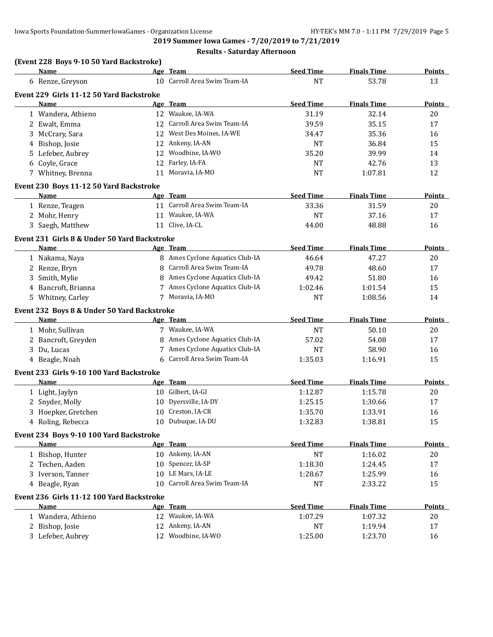|   | (Event 228 Boys 9-10 50 Yard Backstroke)     |    |                                 |                  |                    |               |
|---|----------------------------------------------|----|---------------------------------|------------------|--------------------|---------------|
|   | <b>Name</b>                                  |    | Age Team                        | <b>Seed Time</b> | <b>Finals Time</b> | Points        |
|   | 6 Renze, Greyson                             |    | 10 Carroll Area Swim Team-IA    | <b>NT</b>        | 53.78              | 13            |
|   | Event 229 Girls 11-12 50 Yard Backstroke     |    |                                 |                  |                    |               |
|   | <b>Name</b>                                  |    | Age Team                        | <b>Seed Time</b> | <b>Finals Time</b> | <b>Points</b> |
|   | 1 Wandera, Athieno                           |    | 12 Waukee, IA-WA                | 31.19            | 32.14              | 20            |
|   | 2 Ewalt, Emma                                | 12 | Carroll Area Swim Team-IA       | 39.59            | 35.15              | 17            |
| 3 | McCrary, Sara                                | 12 | West Des Moines, IA-WE          | 34.47            | 35.36              | 16            |
| 4 | Bishop, Josie                                | 12 | Ankeny, IA-AN                   | <b>NT</b>        | 36.84              | 15            |
|   | 5 Lefeber, Aubrey                            | 12 | Woodbine, IA-WO                 | 35.20            | 39.99              | 14            |
|   | 6 Coyle, Grace                               | 12 | Farley, IA-FA                   | <b>NT</b>        | 42.76              | 13            |
|   | 7 Whitney, Brenna                            | 11 | Moravia, IA-MO                  | <b>NT</b>        | 1:07.81            | 12            |
|   | Event 230 Boys 11-12 50 Yard Backstroke      |    |                                 |                  |                    |               |
|   | Name                                         |    | Age Team                        | <b>Seed Time</b> | <b>Finals Time</b> | <b>Points</b> |
|   | 1 Renze, Teagen                              |    | 11 Carroll Area Swim Team-IA    | 33.36            | 31.59              | 20            |
|   | 2 Mohr, Henry                                | 11 | Waukee, IA-WA                   | <b>NT</b>        | 37.16              | 17            |
|   | 3 Saegh, Matthew                             |    | 11 Clive, IA-CL                 | 44.00            | 48.88              | 16            |
|   | Event 231 Girls 8 & Under 50 Yard Backstroke |    |                                 |                  |                    |               |
|   | Name                                         |    | Age Team                        | <b>Seed Time</b> | <b>Finals Time</b> | <b>Points</b> |
|   | 1 Nakama, Naya                               |    | 8 Ames Cyclone Aquatics Club-IA | 46.64            | 47.27              | 20            |
|   | 2 Renze, Bryn                                | 8  | Carroll Area Swim Team-IA       | 49.78            | 48.60              | 17            |
|   | 3 Smith, Mylie                               | 8  | Ames Cyclone Aquatics Club-IA   | 49.42            | 51.80              | 16            |
|   | 4 Bancroft, Brianna                          |    | Ames Cyclone Aquatics Club-IA   | 1:02.46          | 1:01.54            | 15            |
|   | 5 Whitney, Carley                            |    | Moravia, IA-MO                  | <b>NT</b>        | 1:08.56            | 14            |
|   | Event 232 Boys 8 & Under 50 Yard Backstroke  |    |                                 |                  |                    |               |
|   | Name                                         |    | Age Team                        | <b>Seed Time</b> | <b>Finals Time</b> | Points        |
|   | 1 Mohr, Sullivan                             |    | 7 Waukee, IA-WA                 | <b>NT</b>        | 50.10              | 20            |
|   | 2 Bancroft, Greyden                          | 8  | Ames Cyclone Aquatics Club-IA   | 57.02            | 54.08              | 17            |
|   | 3 Du, Lucas                                  |    | Ames Cyclone Aquatics Club-IA   | <b>NT</b>        | 58.90              | 16            |
|   | 4 Beagle, Noah                               | 6  | Carroll Area Swim Team-IA       | 1:35.03          | 1:16.91            | 15            |
|   | Event 233 Girls 9-10 100 Yard Backstroke     |    |                                 |                  |                    |               |
|   | Name                                         |    | Age Team                        | <b>Seed Time</b> | <b>Finals Time</b> | Points        |
|   | 1 Light, Jaylyn                              |    | 10 Gilbert, IA-GI               | 1:12.87          | 1:15.78            | 20            |
|   | 2 Snyder, Molly                              | 10 | Dyersville, IA-DY               | 1:25.15          | 1:30.66            | 17            |
|   | 3 Hoepker, Gretchen                          |    | 10 Creston, IA-CR               | 1:35.70          | 1:33.91            | 16            |
|   | 4 Roling, Rebecca                            |    | 10 Dubuque, IA-DU               | 1:32.83          | 1:38.81            | 15            |
|   | Event 234 Boys 9-10 100 Yard Backstroke      |    |                                 |                  |                    |               |
|   | Name                                         |    | Age Team                        | <b>Seed Time</b> | <b>Finals Time</b> | <b>Points</b> |
|   | 1 Bishop, Hunter                             |    | 10 Ankeny, IA-AN                | $\rm{NT}$        | 1:16.02            | 20            |
|   | 2 Techen, Aaden                              | 10 | Spencer, IA-SP                  | 1:18.30          | 1:24.45            | 17            |
|   | 3 Iverson, Tanner                            |    | 10 LE Mars, IA-LE               | 1:28.67          | 1:25.99            | 16            |
|   | 4 Beagle, Ryan                               | 10 | Carroll Area Swim Team-IA       | <b>NT</b>        | 2:33.22            | 15            |
|   | Event 236 Girls 11-12 100 Yard Backstroke    |    |                                 |                  |                    |               |
|   | <u>Name</u>                                  |    | Age Team                        | <b>Seed Time</b> | <b>Finals Time</b> | <b>Points</b> |
|   | 1 Wandera, Athieno                           |    | 12 Waukee, IA-WA                | 1:07.29          | 1:07.32            | 20            |
|   | 2 Bishop, Josie                              |    | 12 Ankeny, IA-AN                | NT               | 1:19.94            | 17            |
|   | 3 Lefeber, Aubrey                            |    | 12 Woodbine, IA-WO              | 1:25.00          | 1:23.70            | 16            |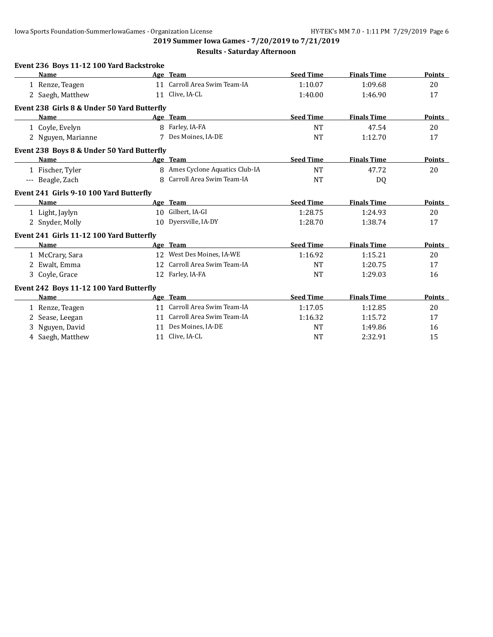**2019 Summer Iowa Games - 7/20/2019 to 7/21/2019**

| Event 236 Boys 11-12 100 Yard Backstroke    |              |                                 |                  |                    |               |
|---------------------------------------------|--------------|---------------------------------|------------------|--------------------|---------------|
| Name                                        |              | Age Team                        | <b>Seed Time</b> | <b>Finals Time</b> | Points        |
| 1 Renze, Teagen                             |              | 11 Carroll Area Swim Team-IA    | 1:10.07          | 1:09.68            | 20            |
| 2 Saegh, Matthew                            |              | 11 Clive, IA-CL                 | 1:40.00          | 1:46.90            | 17            |
| Event 238 Girls 8 & Under 50 Yard Butterfly |              |                                 |                  |                    |               |
| <b>Name</b>                                 |              | Age Team                        | <b>Seed Time</b> | <b>Finals Time</b> | Points        |
| 1 Coyle, Evelyn                             |              | 8 Farley, IA-FA                 | <b>NT</b>        | 47.54              | 20            |
| 2 Nguyen, Marianne                          | 7            | Des Moines, IA-DE               | <b>NT</b>        | 1:12.70            | 17            |
| Event 238 Boys 8 & Under 50 Yard Butterfly  |              |                                 |                  |                    |               |
| <b>Name</b>                                 |              | Age Team                        | <b>Seed Time</b> | <b>Finals Time</b> | Points        |
| 1 Fischer, Tyler                            |              | 8 Ames Cyclone Aquatics Club-IA | <b>NT</b>        | 47.72              | 20            |
| --- Beagle, Zach                            | $\mathsf{R}$ | Carroll Area Swim Team-IA       | <b>NT</b>        | DQ                 |               |
| Event 241 Girls 9-10 100 Yard Butterfly     |              |                                 |                  |                    |               |
| Name                                        |              | Age Team                        | <b>Seed Time</b> | <b>Finals Time</b> | <b>Points</b> |
| 1 Light, Jaylyn                             | 10           | Gilbert, IA-GI                  | 1:28.75          | 1:24.93            | 20            |
| 2 Snyder, Molly                             |              | 10 Dyersville, IA-DY            | 1:28.70          | 1:38.74            | 17            |
| Event 241 Girls 11-12 100 Yard Butterfly    |              |                                 |                  |                    |               |
| <b>Name</b>                                 |              | Age Team                        | <b>Seed Time</b> | <b>Finals Time</b> | Points        |
| 1 McCrary, Sara                             |              | 12 West Des Moines, IA-WE       | 1:16.92          | 1:15.21            | 20            |
| 2 Ewalt, Emma                               |              | 12 Carroll Area Swim Team-IA    | <b>NT</b>        | 1:20.75            | 17            |
| 3 Coyle, Grace                              |              | 12 Farley, IA-FA                | <b>NT</b>        | 1:29.03            | 16            |
| Event 242 Boys 11-12 100 Yard Butterfly     |              |                                 |                  |                    |               |
| <b>Name</b>                                 |              | Age Team                        | <b>Seed Time</b> | <b>Finals Time</b> | Points        |
| 1 Renze, Teagen                             |              | 11 Carroll Area Swim Team-IA    | 1:17.05          | 1:12.85            | 20            |
| 2 Sease, Leegan                             |              | 11 Carroll Area Swim Team-IA    | 1:16.32          | 1:15.72            | 17            |
| 3 Nguyen, David                             |              | 11 Des Moines, IA-DE            | <b>NT</b>        | 1:49.86            | 16            |
| 4 Saegh, Matthew                            |              | 11 Clive, IA-CL                 | <b>NT</b>        | 2:32.91            | 15            |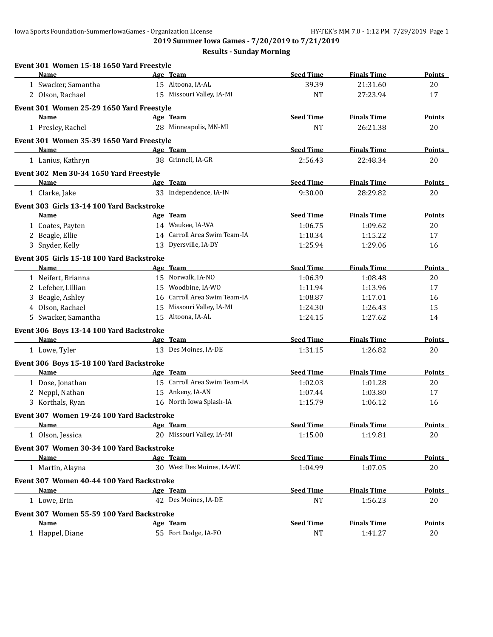**2019 Summer Iowa Games - 7/20/2019 to 7/21/2019**

| Event 301 Women 15-18 1650 Yard Freestyle |    |                              |                  |                    |               |
|-------------------------------------------|----|------------------------------|------------------|--------------------|---------------|
| Name                                      |    | Age Team                     | <b>Seed Time</b> | <b>Finals Time</b> | Points        |
| 1 Swacker, Samantha                       |    | 15 Altoona, IA-AL            | 39.39            | 21:31.60           | 20            |
| 2 Olson, Rachael                          |    | 15 Missouri Valley, IA-MI    | <b>NT</b>        | 27:23.94           | 17            |
| Event 301 Women 25-29 1650 Yard Freestyle |    |                              |                  |                    |               |
| <b>Name</b>                               |    | Age Team                     | <b>Seed Time</b> | <b>Finals Time</b> | <b>Points</b> |
| 1 Presley, Rachel                         |    | 28 Minneapolis, MN-MI        | <b>NT</b>        | 26:21.38           | 20            |
| Event 301 Women 35-39 1650 Yard Freestyle |    |                              |                  |                    |               |
| Name                                      |    | Age Team                     | <b>Seed Time</b> | <b>Finals Time</b> | Points        |
| 1 Lanius, Kathryn                         |    | 38 Grinnell, IA-GR           | 2:56.43          | 22:48.34           | 20            |
| Event 302 Men 30-34 1650 Yard Freestyle   |    |                              |                  |                    |               |
| Name                                      |    | Age Team                     | <b>Seed Time</b> | <b>Finals Time</b> | <b>Points</b> |
| 1 Clarke, Jake                            |    | 33 Independence, IA-IN       | 9:30.00          | 28:29.82           | 20            |
| Event 303 Girls 13-14 100 Yard Backstroke |    |                              |                  |                    |               |
| Name                                      |    | Age Team                     | <b>Seed Time</b> | <b>Finals Time</b> | <b>Points</b> |
| 1 Coates, Payten                          |    | 14 Waukee, IA-WA             | 1:06.75          | 1:09.62            | 20            |
| 2 Beagle, Ellie                           |    | 14 Carroll Area Swim Team-IA | 1:10.34          | 1:15.22            | 17            |
| 3 Snyder, Kelly                           |    | 13 Dyersville, IA-DY         | 1:25.94          | 1:29.06            | 16            |
| Event 305 Girls 15-18 100 Yard Backstroke |    |                              |                  |                    |               |
| Name                                      |    | Age Team                     | <b>Seed Time</b> | <b>Finals Time</b> | <b>Points</b> |
| 1 Neifert, Brianna                        |    | 15 Norwalk, IA-NO            | 1:06.39          | 1:08.48            | 20            |
| 2 Lefeber, Lillian                        | 15 | Woodbine, IA-WO              | 1:11.94          | 1:13.96            | 17            |
| 3 Beagle, Ashley                          | 16 | Carroll Area Swim Team-IA    | 1:08.87          | 1:17.01            | 16            |
| 4 Olson, Rachael                          |    | 15 Missouri Valley, IA-MI    | 1:24.30          | 1:26.43            | 15            |
| 5 Swacker, Samantha                       |    | 15 Altoona, IA-AL            | 1:24.15          | 1:27.62            | 14            |
| Event 306 Boys 13-14 100 Yard Backstroke  |    |                              |                  |                    |               |
| Name                                      |    | Age Team                     | <b>Seed Time</b> | <b>Finals Time</b> | Points        |
| 1 Lowe, Tyler                             |    | 13 Des Moines, IA-DE         | 1:31.15          | 1:26.82            | 20            |
| Event 306 Boys 15-18 100 Yard Backstroke  |    |                              |                  |                    |               |
| Name                                      |    | Age Team                     | <b>Seed Time</b> | <b>Finals Time</b> | <b>Points</b> |
| 1 Dose, Jonathan                          |    | 15 Carroll Area Swim Team-IA | 1:02.03          | 1:01.28            | 20            |
| 2 Neppl, Nathan                           |    | 15 Ankeny, IA-AN             | 1:07.44          | 1:03.80            | 17            |
| 3 Korthals, Ryan                          |    | 16 North Iowa Splash-IA      | 1:15.79          | 1:06.12            | 16            |
| Event 307 Women 19-24 100 Yard Backstroke |    |                              |                  |                    |               |
| <b>Name</b>                               |    | Age Team                     | <b>Seed Time</b> | <b>Finals Time</b> | <b>Points</b> |
| 1 Olson, Jessica                          |    | 20 Missouri Valley, IA-MI    | 1:15.00          | 1:19.81            | 20            |
| Event 307 Women 30-34 100 Yard Backstroke |    |                              |                  |                    |               |
| Name                                      |    | Age Team                     | <b>Seed Time</b> | <b>Finals Time</b> | <b>Points</b> |
| 1 Martin, Alayna                          |    | 30 West Des Moines, IA-WE    | 1:04.99          | 1:07.05            | 20            |
| Event 307 Women 40-44 100 Yard Backstroke |    |                              |                  |                    |               |
| Name                                      |    | Age Team                     | <b>Seed Time</b> | <b>Finals Time</b> | <b>Points</b> |
| 1 Lowe, Erin                              |    | 42 Des Moines, IA-DE         | NT               | 1:56.23            | 20            |
| Event 307 Women 55-59 100 Yard Backstroke |    |                              |                  |                    |               |
| Name                                      |    | Age Team                     | <b>Seed Time</b> | <b>Finals Time</b> | <b>Points</b> |
| 1 Happel, Diane                           |    | 55 Fort Dodge, IA-FO         | $\rm{NT}$        | 1:41.27            | 20            |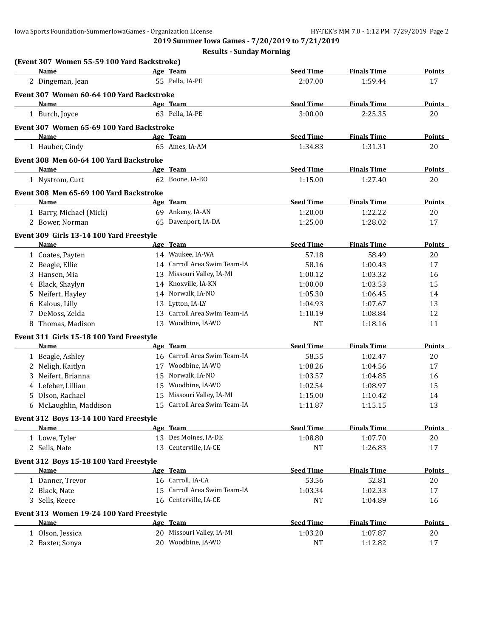**2019 Summer Iowa Games - 7/20/2019 to 7/21/2019**

|                         | (Event 307 Women 55-59 100 Yard Backstroke) |                              |                  |                    |               |
|-------------------------|---------------------------------------------|------------------------------|------------------|--------------------|---------------|
| Name                    |                                             | Age Team                     | <b>Seed Time</b> | <b>Finals Time</b> | <b>Points</b> |
| 2 Dingeman, Jean        |                                             | 55 Pella, IA-PE              | 2:07.00          | 1:59.44            | 17            |
|                         | Event 307 Women 60-64 100 Yard Backstroke   |                              |                  |                    |               |
| Name                    |                                             | Age Team                     | <b>Seed Time</b> | <b>Finals Time</b> | <b>Points</b> |
| 1 Burch, Joyce          |                                             | 63 Pella, IA-PE              | 3:00.00          | 2:25.35            | 20            |
|                         | Event 307 Women 65-69 100 Yard Backstroke   |                              |                  |                    |               |
| <b>Name</b>             |                                             | Age Team                     | <b>Seed Time</b> | <b>Finals Time</b> | Points        |
| 1 Hauber, Cindy         |                                             | 65 Ames, IA-AM               | 1:34.83          | 1:31.31            | 20            |
|                         | Event 308 Men 60-64 100 Yard Backstroke     |                              |                  |                    |               |
| <b>Name</b>             |                                             | Age Team                     | <b>Seed Time</b> | <b>Finals Time</b> | <b>Points</b> |
| 1 Nystrom, Curt         |                                             | 62 Boone, IA-BO              | 1:15.00          | 1:27.40            | 20            |
|                         | Event 308 Men 65-69 100 Yard Backstroke     |                              |                  |                    |               |
| Name                    |                                             | Age Team                     | <b>Seed Time</b> | <b>Finals Time</b> | Points        |
| 1 Barry, Michael (Mick) |                                             | 69 Ankeny, IA-AN             | 1:20.00          | 1:22.22            | 20            |
| 2 Bower, Norman         |                                             | 65 Davenport, IA-DA          | 1:25.00          | 1:28.02            | 17            |
|                         | Event 309 Girls 13-14 100 Yard Freestyle    |                              |                  |                    |               |
| Name                    |                                             | Age Team                     | <b>Seed Time</b> | <b>Finals Time</b> | Points        |
| 1 Coates, Payten        |                                             | 14 Waukee, IA-WA             | 57.18            | 58.49              | 20            |
| 2 Beagle, Ellie         |                                             | 14 Carroll Area Swim Team-IA | 58.16            | 1:00.43            | 17            |
| 3 Hansen, Mia           |                                             | 13 Missouri Valley, IA-MI    | 1:00.12          | 1:03.32            | 16            |
| 4 Black, Shaylyn        |                                             | 14 Knoxville, IA-KN          | 1:00.00          | 1:03.53            | 15            |
| 5 Neifert, Hayley       |                                             | 14 Norwalk, IA-NO            | 1:05.30          | 1:06.45            | 14            |
| 6 Kalous, Lilly         | 13                                          | Lytton, IA-LY                | 1:04.93          | 1:07.67            | 13            |
| 7 DeMoss, Zelda         | 13                                          | Carroll Area Swim Team-IA    | 1:10.19          | 1:08.84            | 12            |
| 8 Thomas, Madison       |                                             | 13 Woodbine, IA-WO           | <b>NT</b>        | 1:18.16            | 11            |
|                         | Event 311 Girls 15-18 100 Yard Freestyle    |                              |                  |                    |               |
| Name                    |                                             | Age Team                     | <b>Seed Time</b> | <b>Finals Time</b> | <b>Points</b> |
| 1 Beagle, Ashley        |                                             | 16 Carroll Area Swim Team-IA | 58.55            | 1:02.47            | 20            |
| 2 Neligh, Kaitlyn       |                                             | 17 Woodbine, IA-WO           | 1:08.26          | 1:04.56            | 17            |
| 3 Neifert, Brianna      |                                             | 15 Norwalk, IA-NO            | 1:03.57          | 1:04.85            | 16            |
| 4 Lefeber, Lillian      |                                             | 15 Woodbine, IA-WO           | 1:02.54          | 1:08.97            | 15            |
| 5 Olson, Rachael        |                                             | 15 Missouri Valley, IA-MI    | 1:15.00          | 1:10.42            | 14            |
| 6 McLaughlin, Maddison  |                                             | 15 Carroll Area Swim Team-IA | 1:11.87          | 1:15.15            | 13            |
|                         | Event 312 Boys 13-14 100 Yard Freestyle     |                              |                  |                    |               |
| Name                    |                                             | Age Team                     | <b>Seed Time</b> | <b>Finals Time</b> | <b>Points</b> |
| 1 Lowe, Tyler           |                                             | 13 Des Moines, IA-DE         | 1:08.80          | 1:07.70            | 20            |
| 2 Sells, Nate           | 13                                          | Centerville, IA-CE           | <b>NT</b>        | 1:26.83            | 17            |
|                         | Event 312 Boys 15-18 100 Yard Freestyle     |                              |                  |                    |               |
| <b>Name</b>             |                                             | Age Team                     | <b>Seed Time</b> | <b>Finals Time</b> | <b>Points</b> |
| 1 Danner, Trevor        |                                             | 16 Carroll, IA-CA            | 53.56            | 52.81              | 20            |
| 2 Black, Nate           | 15                                          | Carroll Area Swim Team-IA    | 1:03.34          | 1:02.33            | 17            |
| 3 Sells, Reece          | 16                                          | Centerville, IA-CE           | <b>NT</b>        | 1:04.89            | 16            |
|                         | Event 313 Women 19-24 100 Yard Freestyle    |                              |                  |                    |               |
| <b>Name</b>             |                                             | Age Team                     | <b>Seed Time</b> | <b>Finals Time</b> | <b>Points</b> |
| 1 Olson, Jessica        |                                             | 20 Missouri Valley, IA-MI    | 1:03.20          | 1:07.87            | 20            |
| 2 Baxter, Sonya         |                                             | 20 Woodbine, IA-WO           | $\rm{NT}$        | 1:12.82            | 17            |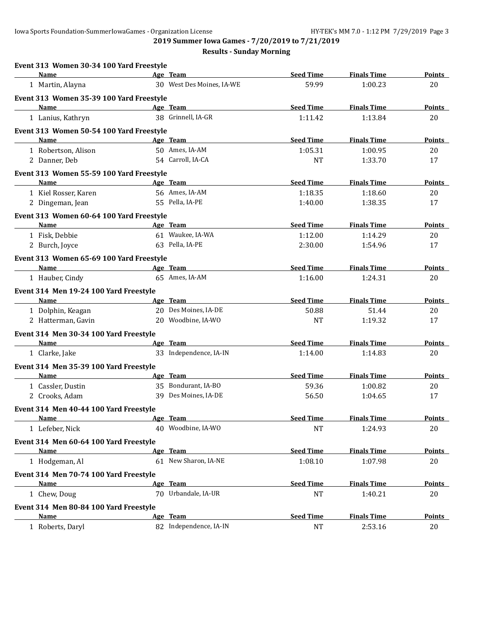**2019 Summer Iowa Games - 7/20/2019 to 7/21/2019**

| Event 313 Women 30-34 100 Yard Freestyle<br>Name | Age Team                  | <b>Seed Time</b> | <b>Finals Time</b> | <b>Points</b> |
|--------------------------------------------------|---------------------------|------------------|--------------------|---------------|
| 1 Martin, Alayna                                 | 30 West Des Moines, IA-WE | 59.99            | 1:00.23            | 20            |
| Event 313 Women 35-39 100 Yard Freestyle         |                           |                  |                    |               |
| <b>Name</b>                                      | Age Team                  | <b>Seed Time</b> | <b>Finals Time</b> | <b>Points</b> |
| 1 Lanius, Kathryn                                | 38 Grinnell, IA-GR        | 1:11.42          | 1:13.84            | 20            |
| Event 313 Women 50-54 100 Yard Freestyle         |                           |                  |                    |               |
| Name                                             | Age Team                  | <b>Seed Time</b> | <b>Finals Time</b> | <b>Points</b> |
| 1 Robertson, Alison                              | 50 Ames, IA-AM            | 1:05.31          | 1:00.95            | 20            |
| 2 Danner, Deb                                    | 54 Carroll, IA-CA         | NT               | 1:33.70            | 17            |
| Event 313 Women 55-59 100 Yard Freestyle         |                           |                  |                    |               |
| Name                                             | Age Team                  | <b>Seed Time</b> | <b>Finals Time</b> | <b>Points</b> |
| 1 Kiel Rosser, Karen                             | 56 Ames, IA-AM            | 1:18.35          | 1:18.60            | 20            |
| 2 Dingeman, Jean                                 | 55 Pella, IA-PE           | 1:40.00          | 1:38.35            | 17            |
| Event 313 Women 60-64 100 Yard Freestyle         |                           |                  |                    |               |
| <b>Name</b>                                      | Age Team                  | <b>Seed Time</b> | <b>Finals Time</b> | <b>Points</b> |
| 1 Fisk, Debbie                                   | 61 Waukee, IA-WA          | 1:12.00          | 1:14.29            | 20            |
| 2 Burch, Joyce                                   | 63 Pella, IA-PE           | 2:30.00          | 1:54.96            | 17            |
| Event 313 Women 65-69 100 Yard Freestyle         |                           |                  |                    |               |
| <b>Name</b>                                      | Age Team                  | <b>Seed Time</b> | <b>Finals Time</b> | Points        |
| 1 Hauber, Cindy                                  | 65 Ames, IA-AM            | 1:16.00          | 1:24.31            | 20            |
| Event 314 Men 19-24 100 Yard Freestyle           |                           |                  |                    |               |
| <b>Name</b>                                      | Age Team                  | <b>Seed Time</b> | <b>Finals Time</b> | Points        |
| 1 Dolphin, Keagan                                | 20 Des Moines, IA-DE      | 50.88            | 51.44              | 20            |
| 2 Hatterman, Gavin                               | 20 Woodbine, IA-WO        | <b>NT</b>        | 1:19.32            | 17            |
| Event 314 Men 30-34 100 Yard Freestyle           |                           |                  |                    |               |
| Name                                             | Age Team                  | <b>Seed Time</b> | <b>Finals Time</b> | <b>Points</b> |
| 1 Clarke, Jake                                   | 33 Independence, IA-IN    | 1:14.00          | 1:14.83            | 20            |
| Event 314 Men 35-39 100 Yard Freestyle           |                           |                  |                    |               |
| Name                                             | Age Team                  | <b>Seed Time</b> | <b>Finals Time</b> | <b>Points</b> |
| 1 Cassler, Dustin                                | 35 Bondurant, IA-BO       | 59.36            | 1:00.82            | 20            |
| 2 Crooks, Adam                                   | 39 Des Moines, IA-DE      | 56.50            | 1:04.65            | 17            |
| Event 314 Men 40-44 100 Yard Freestyle           |                           |                  |                    |               |
| Name                                             | Age Team                  | <b>Seed Time</b> | <b>Finals Time</b> | <b>Points</b> |
| 1 Lefeber, Nick                                  | 40 Woodbine, IA-WO        | NT               | 1:24.93            | 20            |
| Event 314 Men 60-64 100 Yard Freestyle           |                           |                  |                    |               |
| Name                                             | Age Team                  | <b>Seed Time</b> | <b>Finals Time</b> | <b>Points</b> |
| 1 Hodgeman, Al                                   | 61 New Sharon, IA-NE      | 1:08.10          | 1:07.98            | 20            |
| Event 314 Men 70-74 100 Yard Freestyle           |                           |                  |                    |               |
| Name                                             | Age Team                  | <b>Seed Time</b> | <b>Finals Time</b> | <b>Points</b> |
| 1 Chew, Doug                                     | 70 Urbandale, IA-UR       | <b>NT</b>        | 1:40.21            | 20            |
| Event 314 Men 80-84 100 Yard Freestyle           |                           |                  |                    |               |
| <b>Name</b>                                      | Age Team                  | <b>Seed Time</b> | <b>Finals Time</b> | <b>Points</b> |
| 1 Roberts, Daryl                                 | 82 Independence, IA-IN    | <b>NT</b>        | 2:53.16            | 20            |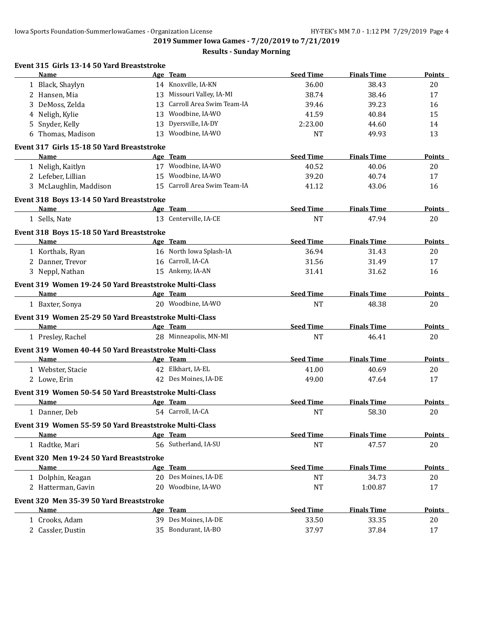| Event 315 Girls 13-14 50 Yard Breaststroke             |    |                              |                  |                    |               |
|--------------------------------------------------------|----|------------------------------|------------------|--------------------|---------------|
| Name                                                   |    | Age Team                     | <b>Seed Time</b> | <b>Finals Time</b> | Points        |
| 1 Black, Shaylyn                                       |    | 14 Knoxville, IA-KN          | 36.00            | 38.43              | 20            |
| 2 Hansen, Mia                                          |    | 13 Missouri Valley, IA-MI    | 38.74            | 38.46              | 17            |
| 3 DeMoss, Zelda                                        |    | 13 Carroll Area Swim Team-IA | 39.46            | 39.23              | 16            |
| 4 Neligh, Kylie                                        | 13 | Woodbine, IA-WO              | 41.59            | 40.84              | 15            |
| 5 Snyder, Kelly                                        | 13 | Dyersville, IA-DY            | 2:23.00          | 44.60              | 14            |
| 6 Thomas, Madison                                      | 13 | Woodbine, IA-WO              | <b>NT</b>        | 49.93              | 13            |
| Event 317 Girls 15-18 50 Yard Breaststroke             |    |                              |                  |                    |               |
| Name                                                   |    | Age Team                     | <b>Seed Time</b> | <b>Finals Time</b> | <b>Points</b> |
| 1 Neligh, Kaitlyn                                      |    | 17 Woodbine, IA-WO           | 40.52            | 40.06              | 20            |
| 2 Lefeber, Lillian                                     |    | 15 Woodbine, IA-WO           | 39.20            | 40.74              | 17            |
| 3 McLaughlin, Maddison                                 |    | 15 Carroll Area Swim Team-IA | 41.12            | 43.06              | 16            |
| Event 318 Boys 13-14 50 Yard Breaststroke              |    |                              |                  |                    |               |
| Name                                                   |    | Age Team                     | <b>Seed Time</b> | <b>Finals Time</b> | Points        |
| 1 Sells, Nate                                          |    | 13 Centerville, IA-CE        | <b>NT</b>        | 47.94              | 20            |
| Event 318 Boys 15-18 50 Yard Breaststroke              |    |                              |                  |                    |               |
| Name                                                   |    | Age Team                     | <b>Seed Time</b> | <b>Finals Time</b> | <b>Points</b> |
| 1 Korthals, Ryan                                       |    | 16 North Iowa Splash-IA      | 36.94            | 31.43              | 20            |
| 2 Danner, Trevor                                       |    | 16 Carroll, IA-CA            | 31.56            | 31.49              | 17            |
| 3 Neppl, Nathan                                        |    | 15 Ankeny, IA-AN             | 31.41            | 31.62              | 16            |
| Event 319 Women 19-24 50 Yard Breaststroke Multi-Class |    |                              |                  |                    |               |
| Name                                                   |    | Age Team                     | <b>Seed Time</b> | <b>Finals Time</b> | Points        |
| 1 Baxter, Sonya                                        |    | 20 Woodbine, IA-WO           | <b>NT</b>        | 48.38              | 20            |
| Event 319 Women 25-29 50 Yard Breaststroke Multi-Class |    |                              |                  |                    |               |
| <b>Name</b>                                            |    | Age Team                     | <b>Seed Time</b> | <b>Finals Time</b> | Points        |
| 1 Presley, Rachel                                      |    | 28 Minneapolis, MN-MI        | <b>NT</b>        | 46.41              | 20            |
|                                                        |    |                              |                  |                    |               |
| Event 319 Women 40-44 50 Yard Breaststroke Multi-Class |    |                              |                  |                    |               |
| Name                                                   |    | Age Team                     | <b>Seed Time</b> | <b>Finals Time</b> | Points        |
| 1 Webster, Stacie                                      |    | 42 Elkhart, IA-EL            | 41.00            | 40.69              | 20            |
| 2 Lowe, Erin                                           |    | 42 Des Moines, IA-DE         | 49.00            | 47.64              | 17            |
| Event 319 Women 50-54 50 Yard Breaststroke Multi-Class |    |                              |                  |                    |               |
| <b>Name</b>                                            |    | Age Team                     | <b>Seed Time</b> | <b>Finals Time</b> | <b>Points</b> |
| 1 Danner, Deb                                          |    | 54 Carroll, IA-CA            | <b>NT</b>        | 58.30              | 20            |
| Event 319 Women 55-59 50 Yard Breaststroke Multi-Class |    |                              |                  |                    |               |
| Name                                                   |    | Age Team                     | <b>Seed Time</b> | <b>Finals Time</b> | Points        |
| 1 Radtke, Mari                                         |    | 56 Sutherland, IA-SU         | <b>NT</b>        | 47.57              | 20            |
| Event 320 Men 19-24 50 Yard Breaststroke               |    |                              |                  |                    |               |
| Name                                                   |    | Age Team                     | <b>Seed Time</b> | <b>Finals Time</b> | <b>Points</b> |
| 1 Dolphin, Keagan                                      |    | 20 Des Moines, IA-DE         | <b>NT</b>        | 34.73              | 20            |
| 2 Hatterman, Gavin                                     |    | 20 Woodbine, IA-WO           | <b>NT</b>        | 1:00.87            | 17            |
| Event 320 Men 35-39 50 Yard Breaststroke               |    |                              |                  |                    |               |
| <b>Name</b>                                            |    | Age Team                     | <b>Seed Time</b> | <b>Finals Time</b> | <b>Points</b> |
| 1 Crooks, Adam                                         |    | 39 Des Moines, IA-DE         | 33.50            | 33.35              | 20            |
| 2 Cassler, Dustin                                      |    | 35 Bondurant, IA-BO          | 37.97            | 37.84              | 17            |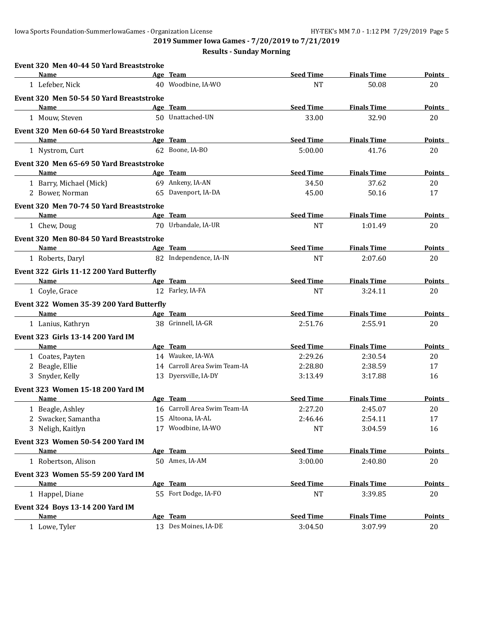**2019 Summer Iowa Games - 7/20/2019 to 7/21/2019**

| Event 320 Men 40-44 50 Yard Breaststroke |                              |                  |                    |               |
|------------------------------------------|------------------------------|------------------|--------------------|---------------|
| Name                                     | Age Team                     | <b>Seed Time</b> | <b>Finals Time</b> | Points        |
| 1 Lefeber, Nick                          | 40 Woodbine, IA-WO           | <b>NT</b>        | 50.08              | 20            |
| Event 320 Men 50-54 50 Yard Breaststroke |                              |                  |                    |               |
| Name                                     | Age Team                     | <b>Seed Time</b> | <b>Finals Time</b> | Points        |
| 1 Mouw, Steven                           | 50 Unattached-UN             | 33.00            | 32.90              | 20            |
| Event 320 Men 60-64 50 Yard Breaststroke |                              |                  |                    |               |
| <b>Name</b>                              | Age Team                     | <b>Seed Time</b> | <b>Finals Time</b> | <b>Points</b> |
| 1 Nystrom, Curt                          | 62 Boone, IA-BO              | 5:00.00          | 41.76              | 20            |
| Event 320 Men 65-69 50 Yard Breaststroke |                              |                  |                    |               |
| Name                                     | Age Team                     | <b>Seed Time</b> | <b>Finals Time</b> | Points        |
| 1 Barry, Michael (Mick)                  | 69 Ankeny, IA-AN             | 34.50            | 37.62              | 20            |
| 2 Bower, Norman                          | 65 Davenport, IA-DA          | 45.00            | 50.16              | 17            |
| Event 320 Men 70-74 50 Yard Breaststroke |                              |                  |                    |               |
| <b>Name</b>                              | Age Team                     | <b>Seed Time</b> | <b>Finals Time</b> | Points        |
| 1 Chew, Doug                             | 70 Urbandale, IA-UR          | <b>NT</b>        | 1:01.49            | 20            |
| Event 320 Men 80-84 50 Yard Breaststroke |                              |                  |                    |               |
| Name                                     | Age Team                     | <b>Seed Time</b> | <b>Finals Time</b> | <b>Points</b> |
| 1 Roberts, Daryl                         | 82 Independence, IA-IN       | <b>NT</b>        | 2:07.60            | 20            |
| Event 322 Girls 11-12 200 Yard Butterfly |                              |                  |                    |               |
| Name                                     | Age Team                     | <b>Seed Time</b> | <b>Finals Time</b> | Points        |
| 1 Coyle, Grace                           | 12 Farley, IA-FA             | <b>NT</b>        | 3:24.11            | 20            |
| Event 322 Women 35-39 200 Yard Butterfly |                              |                  |                    |               |
| Name                                     | Age Team                     | <b>Seed Time</b> | <b>Finals Time</b> | <b>Points</b> |
| 1 Lanius, Kathryn                        | 38 Grinnell, IA-GR           | 2:51.76          | 2:55.91            | 20            |
| Event 323 Girls 13-14 200 Yard IM        |                              |                  |                    |               |
| Name                                     | Age Team                     | <b>Seed Time</b> | <b>Finals Time</b> | Points        |
| 1 Coates, Payten                         | 14 Waukee, IA-WA             | 2:29.26          | 2:30.54            | 20            |
| 2 Beagle, Ellie                          | 14 Carroll Area Swim Team-IA | 2:28.80          | 2:38.59            | 17            |
| 3 Snyder, Kelly                          | 13 Dyersville, IA-DY         | 3:13.49          | 3:17.88            | 16            |
| Event 323 Women 15-18 200 Yard IM        |                              |                  |                    |               |
| Name                                     | Age Team                     | <b>Seed Time</b> | <b>Finals Time</b> | <b>Points</b> |
| 1 Beagle, Ashley                         | 16 Carroll Area Swim Team-IA | 2:27.20          | 2:45.07            | 20            |
| 2 Swacker, Samantha                      | 15 Altoona, IA-AL            | 2:46.46          | 2:54.11            | 17            |
| 3 Neligh, Kaitlyn                        | 17 Woodbine, IA-WO           | NT               | 3:04.59            | 16            |
| Event 323 Women 50-54 200 Yard IM        |                              |                  |                    |               |
| Name                                     | Age Team                     | <b>Seed Time</b> | <b>Finals Time</b> | <b>Points</b> |
| 1 Robertson, Alison                      | 50 Ames, IA-AM               | 3:00.00          | 2:40.80            | 20            |
| Event 323 Women 55-59 200 Yard IM        |                              |                  |                    |               |
| <b>Name</b>                              | Age Team                     | <b>Seed Time</b> | <b>Finals Time</b> | <b>Points</b> |
| 1 Happel, Diane                          | 55 Fort Dodge, IA-FO         | <b>NT</b>        | 3:39.85            | 20            |
| Event 324 Boys 13-14 200 Yard IM         |                              |                  |                    |               |
| <b>Name</b>                              | Age Team                     | <b>Seed Time</b> | <b>Finals Time</b> | <b>Points</b> |
| 1 Lowe, Tyler                            | 13 Des Moines, IA-DE         | 3:04.50          | 3:07.99            | 20            |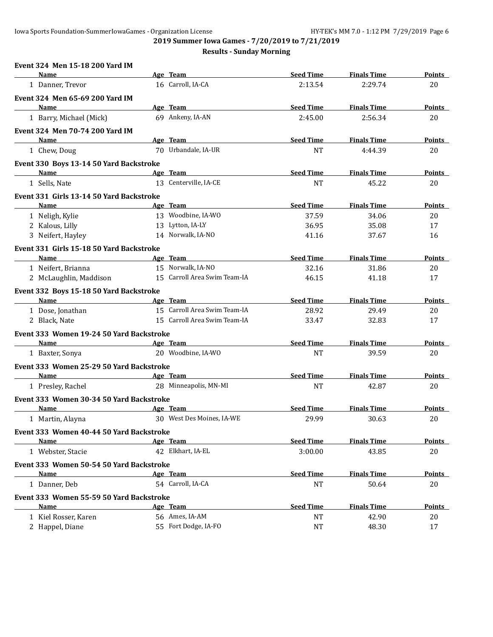**Event 324 Men 15-18 200 Yard IM**

**2019 Summer Iowa Games - 7/20/2019 to 7/21/2019**

| Name                                     | Age Team                     | <b>Seed Time</b> | <b>Finals Time</b> | <b>Points</b> |
|------------------------------------------|------------------------------|------------------|--------------------|---------------|
| 1 Danner, Trevor                         | 16 Carroll, IA-CA            | 2:13.54          | 2:29.74            | 20            |
| Event 324 Men 65-69 200 Yard IM          |                              |                  |                    |               |
| Name                                     | Age Team                     | <b>Seed Time</b> | <b>Finals Time</b> | <b>Points</b> |
| 1 Barry, Michael (Mick)                  | 69 Ankeny, IA-AN             | 2:45.00          | 2:56.34            | 20            |
| <b>Event 324 Men 70-74 200 Yard IM</b>   |                              |                  |                    |               |
| <b>Name</b>                              | Age Team                     | <b>Seed Time</b> | <b>Finals Time</b> | <b>Points</b> |
| 1 Chew, Doug                             | 70 Urbandale, IA-UR          | <b>NT</b>        | 4:44.39            | 20            |
| Event 330 Boys 13-14 50 Yard Backstroke  |                              |                  |                    |               |
| <b>Name</b>                              | Age Team                     | <b>Seed Time</b> | <b>Finals Time</b> | Points        |
| 1 Sells, Nate                            | 13 Centerville, IA-CE        | <b>NT</b>        | 45.22              | 20            |
| Event 331 Girls 13-14 50 Yard Backstroke |                              |                  |                    |               |
| Name                                     | Age Team                     | <b>Seed Time</b> | <b>Finals Time</b> | <b>Points</b> |
| 1 Neligh, Kylie                          | 13 Woodbine, IA-WO           | 37.59            | 34.06              | 20            |
| 2 Kalous, Lilly                          | 13 Lytton, IA-LY             | 36.95            | 35.08              | 17            |
| 3 Neifert, Hayley                        | 14 Norwalk, IA-NO            | 41.16            | 37.67              | 16            |
| Event 331 Girls 15-18 50 Yard Backstroke |                              |                  |                    |               |
| <b>Name</b>                              | Age Team                     | <b>Seed Time</b> | <b>Finals Time</b> | Points        |
| 1 Neifert, Brianna                       | 15 Norwalk, IA-NO            | 32.16            | 31.86              | 20            |
| 2 McLaughlin, Maddison                   | 15 Carroll Area Swim Team-IA | 46.15            | 41.18              | 17            |
| Event 332 Boys 15-18 50 Yard Backstroke  |                              |                  |                    |               |
| Name                                     | Age Team                     | <b>Seed Time</b> | <b>Finals Time</b> | Points        |
| 1 Dose, Jonathan                         | 15 Carroll Area Swim Team-IA | 28.92            | 29.49              | 20            |
| 2 Black, Nate                            | 15 Carroll Area Swim Team-IA | 33.47            | 32.83              | 17            |
| Event 333 Women 19-24 50 Yard Backstroke |                              |                  |                    |               |
| Name                                     | Age Team                     | <b>Seed Time</b> | <b>Finals Time</b> | Points        |
| 1 Baxter, Sonya                          | 20 Woodbine, IA-WO           | <b>NT</b>        | 39.59              | 20            |
| Event 333 Women 25-29 50 Yard Backstroke |                              |                  |                    |               |
| Name                                     | Age Team                     | <b>Seed Time</b> | <b>Finals Time</b> | Points        |
| 1 Presley, Rachel                        | 28 Minneapolis, MN-MI        | <b>NT</b>        | 42.87              | 20            |
| Event 333 Women 30-34 50 Yard Backstroke |                              |                  |                    |               |
| Name                                     | Age Team                     | <b>Seed Time</b> | <b>Finals Time</b> | Points        |
| 1 Martin, Alayna                         | 30 West Des Moines, IA-WE    | 29.99            | 30.63              | 20            |
| Event 333 Women 40-44 50 Yard Backstroke |                              |                  |                    |               |
| <u>Name</u>                              | <u>Age Team</u>              | <b>Seed Time</b> | <b>Finals Time</b> | <b>Points</b> |
| 1 Webster, Stacie                        | 42 Elkhart, IA-EL            | 3:00.00          | 43.85              | 20            |
| Event 333 Women 50-54 50 Yard Backstroke |                              |                  |                    |               |
| Name                                     | Age Team                     | <b>Seed Time</b> | <b>Finals Time</b> | Points        |
| 1 Danner, Deb                            | 54 Carroll, IA-CA            | <b>NT</b>        | 50.64              | 20            |
| Event 333 Women 55-59 50 Yard Backstroke |                              |                  |                    |               |
| Name                                     | Age Team                     | <b>Seed Time</b> | <b>Finals Time</b> | <b>Points</b> |
| 1 Kiel Rosser, Karen                     | 56 Ames, IA-AM               | <b>NT</b>        | 42.90              | 20            |
| 2 Happel, Diane                          | 55 Fort Dodge, IA-FO         | <b>NT</b>        | 48.30              | 17            |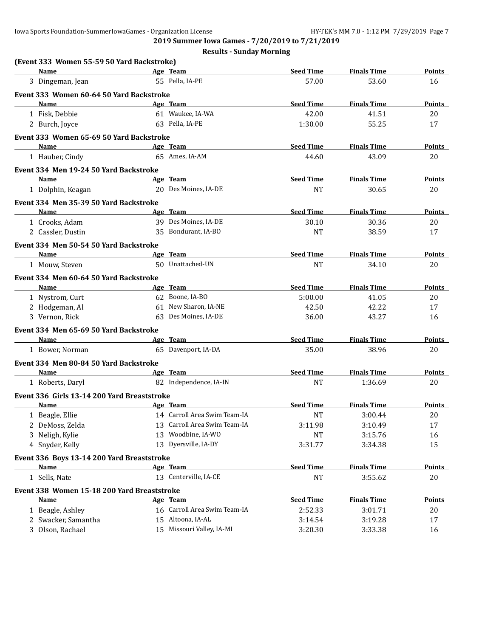| (Event 333 Women 55-59 50 Yard Backstroke)  |    |                              |                  |                    |               |
|---------------------------------------------|----|------------------------------|------------------|--------------------|---------------|
| <b>Name</b>                                 |    | Age Team                     | <b>Seed Time</b> | <b>Finals Time</b> | <b>Points</b> |
| 3 Dingeman, Jean                            |    | 55 Pella, IA-PE              | 57.00            | 53.60              | 16            |
| Event 333 Women 60-64 50 Yard Backstroke    |    |                              |                  |                    |               |
| Name                                        |    | Age Team                     | <b>Seed Time</b> | <b>Finals Time</b> | <b>Points</b> |
| 1 Fisk, Debbie                              |    | 61 Waukee, IA-WA             | 42.00            | 41.51              | 20            |
| 2 Burch, Joyce                              |    | 63 Pella, IA-PE              | 1:30.00          | 55.25              | 17            |
| Event 333 Women 65-69 50 Yard Backstroke    |    |                              |                  |                    |               |
| Name                                        |    | Age Team                     | <b>Seed Time</b> | <b>Finals Time</b> | <b>Points</b> |
| 1 Hauber, Cindy                             |    | 65 Ames, IA-AM               | 44.60            | 43.09              | 20            |
| Event 334 Men 19-24 50 Yard Backstroke      |    |                              |                  |                    |               |
| Name                                        |    | Age Team                     | <b>Seed Time</b> | <b>Finals Time</b> | <b>Points</b> |
| 1 Dolphin, Keagan                           |    | 20 Des Moines, IA-DE         | <b>NT</b>        | 30.65              | 20            |
| Event 334 Men 35-39 50 Yard Backstroke      |    |                              |                  |                    |               |
| <b>Name</b>                                 |    | Age Team                     | <b>Seed Time</b> | <b>Finals Time</b> | <b>Points</b> |
| 1 Crooks, Adam                              |    | 39 Des Moines, IA-DE         | 30.10            | 30.36              | 20            |
| 2 Cassler, Dustin                           |    | 35 Bondurant, IA-BO          | <b>NT</b>        | 38.59              | 17            |
| Event 334 Men 50-54 50 Yard Backstroke      |    |                              |                  |                    |               |
| Name                                        |    | Age Team                     | <b>Seed Time</b> | <b>Finals Time</b> | <b>Points</b> |
| 1 Mouw, Steven                              |    | 50 Unattached-UN             | <b>NT</b>        | 34.10              | 20            |
| Event 334 Men 60-64 50 Yard Backstroke      |    |                              |                  |                    |               |
| <b>Name</b>                                 |    | Age Team                     | <b>Seed Time</b> | <b>Finals Time</b> | <b>Points</b> |
| 1 Nystrom, Curt                             |    | 62 Boone, IA-BO              | 5:00.00          | 41.05              | 20            |
| 2 Hodgeman, Al                              |    | 61 New Sharon, IA-NE         | 42.50            | 42.22              | 17            |
| 3 Vernon, Rick                              | 63 | Des Moines, IA-DE            | 36.00            | 43.27              | 16            |
| Event 334 Men 65-69 50 Yard Backstroke      |    |                              |                  |                    |               |
| Name                                        |    | Age Team                     | <b>Seed Time</b> | <b>Finals Time</b> | <b>Points</b> |
| 1 Bower, Norman                             |    | 65 Davenport, IA-DA          | 35.00            | 38.96              | 20            |
| Event 334 Men 80-84 50 Yard Backstroke      |    |                              |                  |                    |               |
| Name                                        |    | Age Team                     | <b>Seed Time</b> | <b>Finals Time</b> | <b>Points</b> |
| 1 Roberts, Daryl                            |    | 82 Independence, IA-IN       | <b>NT</b>        | 1:36.69            | 20            |
| Event 336 Girls 13-14 200 Yard Breaststroke |    |                              |                  |                    |               |
| Name                                        |    | Age Team                     | <b>Seed Time</b> | <b>Finals Time</b> | Points        |
| 1 Beagle, Ellie                             |    | 14 Carroll Area Swim Team-IA | <b>NT</b>        | 3:00.44            | 20            |
| 2 DeMoss, Zelda                             |    | 13 Carroll Area Swim Team-IA | 3:11.98          | 3:10.49            | 17            |
| 3 Neligh, Kylie                             |    | 13 Woodbine, IA-WO           | NT               | 3:15.76            | 16            |
| 4 Snyder, Kelly                             |    | 13 Dyersville, IA-DY         | 3:31.77          | 3:34.38            | 15            |
| Event 336 Boys 13-14 200 Yard Breaststroke  |    |                              |                  |                    |               |
| Name                                        |    | Age Team                     | <b>Seed Time</b> | <b>Finals Time</b> | <b>Points</b> |
| 1 Sells, Nate                               |    | 13 Centerville, IA-CE        | <b>NT</b>        | 3:55.62            | 20            |
| Event 338 Women 15-18 200 Yard Breaststroke |    |                              |                  |                    |               |
| Name                                        |    | Age Team                     | <b>Seed Time</b> | <b>Finals Time</b> | <b>Points</b> |
| 1 Beagle, Ashley                            |    | 16 Carroll Area Swim Team-IA | 2:52.33          | 3:01.71            | 20            |
| 2 Swacker, Samantha                         |    | 15 Altoona, IA-AL            | 3:14.54          | 3:19.28            | 17            |
| 3 Olson, Rachael                            |    | 15 Missouri Valley, IA-MI    | 3:20.30          | 3:33.38            | 16            |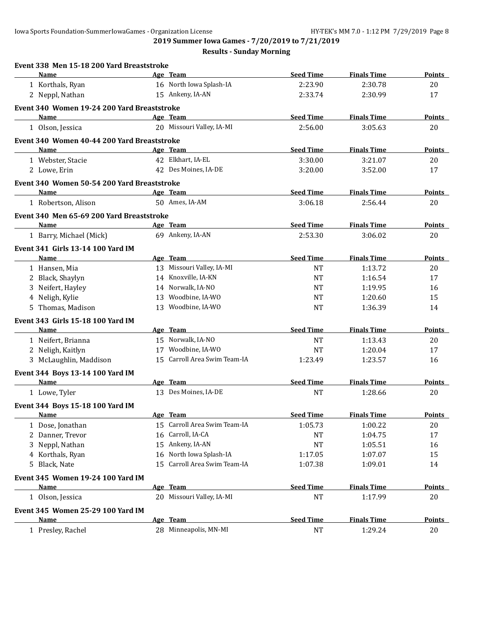**2019 Summer Iowa Games - 7/20/2019 to 7/21/2019**

| Event 338 Men 15-18 200 Yard Breaststroke   |    |                              |                  |                    |               |
|---------------------------------------------|----|------------------------------|------------------|--------------------|---------------|
| Name                                        |    | Age Team                     | <b>Seed Time</b> | <b>Finals Time</b> | Points        |
| 1 Korthals, Ryan                            |    | 16 North Iowa Splash-IA      | 2:23.90          | 2:30.78            | 20            |
| 2 Neppl, Nathan                             |    | 15 Ankeny, IA-AN             | 2:33.74          | 2:30.99            | 17            |
| Event 340 Women 19-24 200 Yard Breaststroke |    |                              |                  |                    |               |
| Name                                        |    | Age Team                     | <b>Seed Time</b> | <b>Finals Time</b> | <b>Points</b> |
| 1 Olson, Jessica                            |    | 20 Missouri Valley, IA-MI    | 2:56.00          | 3:05.63            | 20            |
| Event 340 Women 40-44 200 Yard Breaststroke |    |                              |                  |                    |               |
| Name                                        |    | Age Team                     | <b>Seed Time</b> | <b>Finals Time</b> | Points        |
| 1 Webster, Stacie                           |    | 42 Elkhart, IA-EL            | 3:30.00          | 3:21.07            | 20            |
| 2 Lowe, Erin                                |    | 42 Des Moines, IA-DE         | 3:20.00          | 3:52.00            | 17            |
| Event 340 Women 50-54 200 Yard Breaststroke |    |                              |                  |                    |               |
| Name                                        |    | Age Team                     | <b>Seed Time</b> | <b>Finals Time</b> | Points        |
| 1 Robertson, Alison                         |    | 50 Ames, IA-AM               | 3:06.18          | 2:56.44            | 20            |
| Event 340 Men 65-69 200 Yard Breaststroke   |    |                              |                  |                    |               |
| <b>Name</b>                                 |    | Age Team                     | <b>Seed Time</b> | <b>Finals Time</b> | <b>Points</b> |
| 1 Barry, Michael (Mick)                     |    | 69 Ankeny, IA-AN             | 2:53.30          | 3:06.02            | 20            |
| <b>Event 341 Girls 13-14 100 Yard IM</b>    |    |                              |                  |                    |               |
| Name                                        |    | Age Team                     | <b>Seed Time</b> | <b>Finals Time</b> | Points        |
| 1 Hansen, Mia                               |    | 13 Missouri Valley, IA-MI    | <b>NT</b>        | 1:13.72            | 20            |
| 2 Black, Shaylyn                            |    | 14 Knoxville, IA-KN          | <b>NT</b>        | 1:16.54            | 17            |
| 3 Neifert, Hayley                           |    | 14 Norwalk, IA-NO            | <b>NT</b>        | 1:19.95            | 16            |
| 4 Neligh, Kylie                             | 13 | Woodbine, IA-WO              | <b>NT</b>        | 1:20.60            | 15            |
| 5 Thomas, Madison                           |    | 13 Woodbine, IA-WO           | <b>NT</b>        | 1:36.39            | 14            |
| <b>Event 343 Girls 15-18 100 Yard IM</b>    |    |                              |                  |                    |               |
| Name                                        |    | Age Team                     | <b>Seed Time</b> | <b>Finals Time</b> | <b>Points</b> |
| 1 Neifert, Brianna                          |    | 15 Norwalk, IA-NO            | <b>NT</b>        | 1:13.43            | 20            |
| 2 Neligh, Kaitlyn                           |    | 17 Woodbine, IA-WO           | NT               | 1:20.04            | 17            |
| 3 McLaughlin, Maddison                      |    | 15 Carroll Area Swim Team-IA | 1:23.49          | 1:23.57            | 16            |
| Event 344 Boys 13-14 100 Yard IM            |    |                              |                  |                    |               |
| <b>Name</b>                                 |    | Age Team                     | <b>Seed Time</b> | <b>Finals Time</b> | Points        |
| 1 Lowe, Tyler                               |    | 13 Des Moines, IA-DE         | <b>NT</b>        | 1:28.66            | 20            |
| Event 344 Boys 15-18 100 Yard IM            |    |                              |                  |                    |               |
| Name                                        |    | Age Team                     | <b>Seed Time</b> | <b>Finals Time</b> | <b>Points</b> |
| 1 Dose, Jonathan                            |    | 15 Carroll Area Swim Team-IA | 1:05.73          | 1:00.22            | 20            |
| 2 Danner, Trevor                            |    | 16 Carroll, IA-CA            | NT               | 1:04.75            | 17            |
| 3 Neppl, Nathan                             |    | 15 Ankeny, IA-AN             | <b>NT</b>        | 1:05.51            | 16            |
| 4 Korthals, Ryan                            | 16 | North Iowa Splash-IA         | 1:17.05          | 1:07.07            | 15            |
| Black, Nate<br>5                            | 15 | Carroll Area Swim Team-IA    | 1:07.38          | 1:09.01            | 14            |
| Event 345 Women 19-24 100 Yard IM           |    |                              |                  |                    |               |
| Name                                        |    | Age Team                     | <b>Seed Time</b> | <b>Finals Time</b> | <b>Points</b> |
| 1 Olson, Jessica                            |    | 20 Missouri Valley, IA-MI    | <b>NT</b>        | 1:17.99            | 20            |
| Event 345 Women 25-29 100 Yard IM           |    |                              |                  |                    |               |
| Name                                        |    | Age Team                     | <b>Seed Time</b> | <b>Finals Time</b> | <b>Points</b> |
| 1 Presley, Rachel                           |    | 28 Minneapolis, MN-MI        | <b>NT</b>        | 1:29.24            | $20\,$        |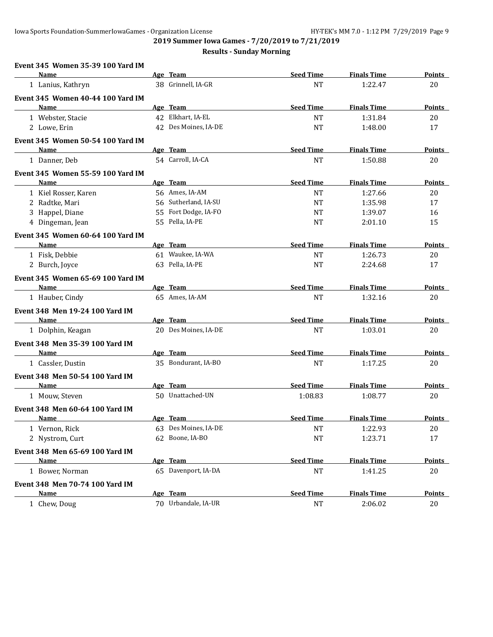**2019 Summer Iowa Games - 7/20/2019 to 7/21/2019**

| Event 345 Women 35-39 100 Yard IM        |          |                      |                  |                    |               |
|------------------------------------------|----------|----------------------|------------------|--------------------|---------------|
| Name                                     |          | Age Team             | <b>Seed Time</b> | <b>Finals Time</b> | Points        |
| 1 Lanius, Kathryn                        |          | 38 Grinnell, IA-GR   | <b>NT</b>        | 1:22.47            | 20            |
| <b>Event 345 Women 40-44 100 Yard IM</b> |          |                      |                  |                    |               |
| Name                                     |          | Age Team             | <b>Seed Time</b> | <b>Finals Time</b> | Points        |
| 1 Webster, Stacie                        |          | 42 Elkhart, IA-EL    | <b>NT</b>        | 1:31.84            | 20            |
| 2 Lowe, Erin                             |          | 42 Des Moines, IA-DE | <b>NT</b>        | 1:48.00            | 17            |
| Event 345 Women 50-54 100 Yard IM        |          |                      |                  |                    |               |
| Name                                     |          | Age Team             | <b>Seed Time</b> | <b>Finals Time</b> | Points        |
| 1 Danner, Deb                            |          | 54 Carroll, IA-CA    | <b>NT</b>        | 1:50.88            | 20            |
| Event 345 Women 55-59 100 Yard IM        |          |                      |                  |                    |               |
| Name                                     |          | Age Team             | <b>Seed Time</b> | <b>Finals Time</b> | <b>Points</b> |
| 1 Kiel Rosser, Karen                     |          | 56 Ames, IA-AM       | <b>NT</b>        | 1:27.66            | 20            |
| 2 Radtke, Mari                           |          | 56 Sutherland, IA-SU | <b>NT</b>        | 1:35.98            | 17            |
| 3 Happel, Diane                          |          | 55 Fort Dodge, IA-FO | <b>NT</b>        | 1:39.07            | 16            |
| 4 Dingeman, Jean                         |          | 55 Pella, IA-PE      | <b>NT</b>        | 2:01.10            | 15            |
| <b>Event 345 Women 60-64 100 Yard IM</b> |          |                      |                  |                    |               |
| Name                                     |          | Age Team             | <b>Seed Time</b> | <b>Finals Time</b> | Points        |
| 1 Fisk, Debbie                           |          | 61 Waukee, IA-WA     | NT               | 1:26.73            | 20            |
| 2 Burch, Joyce                           |          | 63 Pella, IA-PE      | <b>NT</b>        | 2:24.68            | 17            |
| Event 345 Women 65-69 100 Yard IM        |          |                      |                  |                    |               |
| Name                                     |          | Age Team             | <b>Seed Time</b> | <b>Finals Time</b> | Points        |
| 1 Hauber, Cindy                          |          | 65 Ames, IA-AM       | <b>NT</b>        | 1:32.16            | 20            |
| Event 348 Men 19-24 100 Yard IM          |          |                      |                  |                    |               |
| Name                                     |          | Age Team             | <b>Seed Time</b> | <b>Finals Time</b> | Points        |
| 1 Dolphin, Keagan                        |          | 20 Des Moines, IA-DE | <b>NT</b>        | 1:03.01            | 20            |
| Event 348 Men 35-39 100 Yard IM          |          |                      |                  |                    |               |
| Name                                     |          | Age Team             | <b>Seed Time</b> | <b>Finals Time</b> | <b>Points</b> |
| 1 Cassler, Dustin                        |          | 35 Bondurant, IA-BO  | <b>NT</b>        | 1:17.25            | 20            |
| Event 348 Men 50-54 100 Yard IM          |          |                      |                  |                    |               |
| Name                                     |          | Age Team             | <b>Seed Time</b> | <b>Finals Time</b> | Points        |
| 1 Mouw, Steven                           |          | 50 Unattached-UN     | 1:08.83          | 1:08.77            | 20            |
| <b>Event 348 Men 60-64 100 Yard IM</b>   |          |                      |                  |                    |               |
| <u>Name</u>                              | Age Team |                      | <b>Seed Time</b> | <b>Finals Time</b> | <u>Points</u> |
| 1 Vernon, Rick                           |          | 63 Des Moines, IA-DE | NT               | 1:22.93            | 20            |
| 2 Nystrom, Curt                          |          | 62 Boone, IA-BO      | <b>NT</b>        | 1:23.71            | 17            |
| Event 348 Men 65-69 100 Yard IM          |          |                      |                  |                    |               |
| <b>Name</b>                              | Age Team |                      | <b>Seed Time</b> | <b>Finals Time</b> | <b>Points</b> |
| 1 Bower, Norman                          |          | 65 Davenport, IA-DA  | <b>NT</b>        | 1:41.25            | 20            |
| Event 348 Men 70-74 100 Yard IM          |          |                      |                  |                    |               |
| <b>Name</b>                              |          | Age Team             | <b>Seed Time</b> | <b>Finals Time</b> | <b>Points</b> |
| 1 Chew, Doug                             |          | 70 Urbandale, IA-UR  | <b>NT</b>        | 2:06.02            | 20            |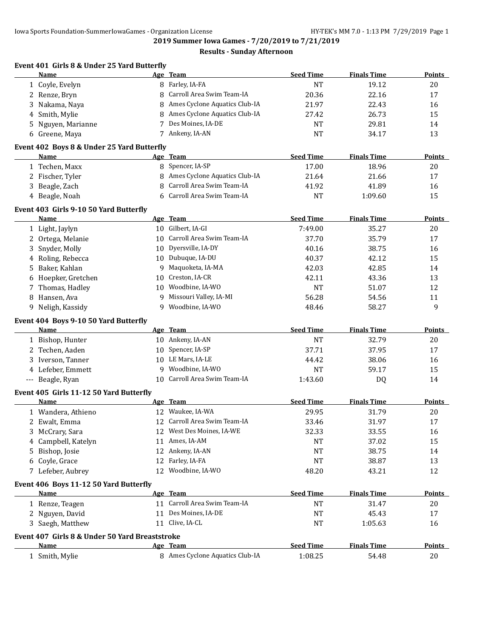**2019 Summer Iowa Games - 7/20/2019 to 7/21/2019**

|                                                                                                      |    | Age Team                        | <b>Seed Time</b> | <b>Finals Time</b> | Points                                                    |
|------------------------------------------------------------------------------------------------------|----|---------------------------------|------------------|--------------------|-----------------------------------------------------------|
| 1 Coyle, Evelyn                                                                                      |    | 8 Farley, IA-FA                 | <b>NT</b>        | 19.12              | 20                                                        |
| 2 Renze, Bryn                                                                                        |    | 8 Carroll Area Swim Team-IA     | 20.36            | 22.16              | 17                                                        |
| Nakama, Naya<br>3                                                                                    |    | 8 Ames Cyclone Aquatics Club-IA | 21.97            | 22.43              | 16                                                        |
| Smith, Mylie<br>4                                                                                    |    | 8 Ames Cyclone Aquatics Club-IA | 27.42            | 26.73              | 15                                                        |
| Nguyen, Marianne<br>5                                                                                |    | 7 Des Moines, IA-DE             | <b>NT</b>        | 29.81              | 14                                                        |
| 6 Greene, Maya                                                                                       |    | 7 Ankeny, IA-AN                 | <b>NT</b>        | 34.17              | 13                                                        |
| Event 402 Boys 8 & Under 25 Yard Butterfly                                                           |    |                                 |                  |                    |                                                           |
| <b>Name</b>                                                                                          |    | Age Team                        | <b>Seed Time</b> | <b>Finals Time</b> | <b>Points</b>                                             |
| 1 Techen, Maxx                                                                                       |    | 8 Spencer, IA-SP                | 17.00            | 18.96              | 20                                                        |
| 2 Fischer, Tyler                                                                                     |    | 8 Ames Cyclone Aquatics Club-IA | 21.64            | 21.66              | 17                                                        |
| Beagle, Zach<br>3                                                                                    | 8  | Carroll Area Swim Team-IA       | 41.92            | 41.89              | 16                                                        |
| 4 Beagle, Noah                                                                                       |    | 6 Carroll Area Swim Team-IA     | <b>NT</b>        | 1:09.60            | 15                                                        |
| Event 403 Girls 9-10 50 Yard Butterfly                                                               |    |                                 |                  |                    |                                                           |
| <b>Name</b>                                                                                          |    | Age Team                        | <b>Seed Time</b> | <b>Finals Time</b> | <b>Points</b>                                             |
| 1 Light, Jaylyn                                                                                      |    | 10 Gilbert, IA-GI               | 7:49.00          | 35.27              | 20                                                        |
| 2 Ortega, Melanie                                                                                    |    | 10 Carroll Area Swim Team-IA    | 37.70            | 35.79              | 17                                                        |
| Snyder, Molly                                                                                        |    | 10 Dyersville, IA-DY            | 40.16            | 38.75              | 16                                                        |
| 4 Roling, Rebecca                                                                                    |    | 10 Dubuque, IA-DU               | 40.37            | 42.12              | 15                                                        |
| Baker, Kahlan<br>5                                                                                   | 9  | Maquoketa, IA-MA                | 42.03            | 42.85              | 14                                                        |
| 6 Hoepker, Gretchen                                                                                  | 10 | Creston, IA-CR                  | 42.11            | 43.36              | 13                                                        |
| Thomas, Hadley<br>7                                                                                  | 10 | Woodbine, IA-WO                 | <b>NT</b>        | 51.07              | 12                                                        |
| 8 Hansen, Ava                                                                                        | 9  | Missouri Valley, IA-MI          | 56.28            | 54.56              | 11                                                        |
| 9 Neligh, Kassidy                                                                                    |    | 9 Woodbine, IA-WO               | 48.46            | 58.27              | 9                                                         |
| Event 404 Boys 9-10 50 Yard Butterfly                                                                |    |                                 |                  |                    |                                                           |
|                                                                                                      |    | Age Team                        | <b>Seed Time</b> | <b>Finals Time</b> |                                                           |
| <b>Name</b>                                                                                          |    |                                 |                  |                    |                                                           |
| 1 Bishop, Hunter                                                                                     |    | 10 Ankeny, IA-AN                | <b>NT</b>        | 32.79              | 20                                                        |
| 2 Techen, Aaden                                                                                      |    | 10 Spencer, IA-SP               | 37.71            | 37.95              | 17                                                        |
| 3 Iverson, Tanner                                                                                    |    | 10 LE Mars, IA-LE               | 44.42            | 38.06              | 16                                                        |
| 4 Lefeber, Emmett                                                                                    |    | 9 Woodbine, IA-WO               | <b>NT</b>        | 59.17              | 15                                                        |
| --- Beagle, Ryan                                                                                     |    | 10 Carroll Area Swim Team-IA    | 1:43.60          | DQ                 | 14                                                        |
|                                                                                                      |    |                                 |                  |                    |                                                           |
| <b>Name</b>                                                                                          |    | Age Team                        | <b>Seed Time</b> | <b>Finals Time</b> |                                                           |
| 1 Wandera, Athieno                                                                                   |    | 12 Waukee, IA-WA                | 29.95            | 31.79              | 20                                                        |
| 2 Ewalt, Emma                                                                                        |    | 12 Carroll Area Swim Team-IA    | 33.46            | 31.97              | 17                                                        |
| McCrary, Sara<br>3                                                                                   |    | 12 West Des Moines, IA-WE       | 32.33            | 33.55              | 16                                                        |
| Campbell, Katelyn<br>4                                                                               |    | 11 Ames, IA-AM                  | <b>NT</b>        | 37.02              | 15                                                        |
| Bishop, Josie<br>5                                                                                   |    | 12 Ankeny, IA-AN                | <b>NT</b>        | 38.75              | 14                                                        |
| 6 Coyle, Grace                                                                                       |    | 12 Farley, IA-FA                | <b>NT</b>        | 38.87              | 13                                                        |
| 7 Lefeber, Aubrey                                                                                    |    | 12 Woodbine, IA-WO              | 48.20            | 43.21              | 12                                                        |
|                                                                                                      |    |                                 |                  |                    |                                                           |
| <b>Name</b>                                                                                          |    | Age Team                        | <b>Seed Time</b> | <b>Finals Time</b> |                                                           |
| 1 Renze, Teagen                                                                                      |    | 11 Carroll Area Swim Team-IA    | <b>NT</b>        | 31.47              | 20                                                        |
| Event 405 Girls 11-12 50 Yard Butterfly<br>Event 406 Boys 11-12 50 Yard Butterfly<br>2 Nguyen, David |    | 11 Des Moines, IA-DE            | <b>NT</b>        | 45.43              | 17                                                        |
| 3 Saegh, Matthew                                                                                     |    | 11 Clive, IA-CL                 | <b>NT</b>        | 1:05.63            | 16                                                        |
| Event 407 Girls 8 & Under 50 Yard Breaststroke<br><b>Name</b>                                        |    | Age Team                        | <b>Seed Time</b> | <b>Finals Time</b> | <b>Points</b><br>Points<br><b>Points</b><br><b>Points</b> |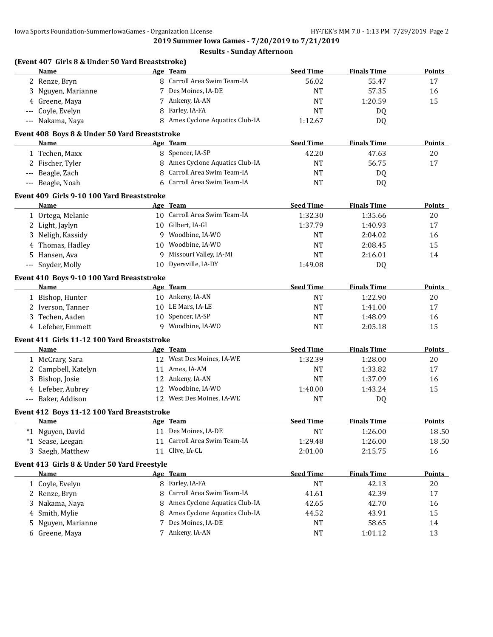**2019 Summer Iowa Games - 7/20/2019 to 7/21/2019**

|     | (Event 407 Girls 8 & Under 50 Yard Breaststroke) |    |                                 |                  |                    |               |
|-----|--------------------------------------------------|----|---------------------------------|------------------|--------------------|---------------|
|     | Name                                             |    | Age Team                        | <b>Seed Time</b> | <b>Finals Time</b> | Points        |
|     | 2 Renze, Bryn                                    |    | 8 Carroll Area Swim Team-IA     | 56.02            | 55.47              | 17            |
|     | 3 Nguyen, Marianne                               |    | 7 Des Moines, IA-DE             | <b>NT</b>        | 57.35              | 16            |
|     | 4 Greene, Maya                                   |    | 7 Ankeny, IA-AN                 | <b>NT</b>        | 1:20.59            | 15            |
| --- | Coyle, Evelyn                                    | 8  | Farley, IA-FA                   | NT               | DQ                 |               |
|     | --- Nakama, Naya                                 |    | 8 Ames Cyclone Aquatics Club-IA | 1:12.67          | DQ                 |               |
|     | Event 408 Boys 8 & Under 50 Yard Breaststroke    |    |                                 |                  |                    |               |
|     | <b>Name</b>                                      |    | Age Team                        | <b>Seed Time</b> | <b>Finals Time</b> | <b>Points</b> |
|     | 1 Techen, Maxx                                   |    | 8 Spencer, IA-SP                | 42.20            | 47.63              | 20            |
|     | 2 Fischer, Tyler                                 |    | 8 Ames Cyclone Aquatics Club-IA | <b>NT</b>        | 56.75              | 17            |
|     | --- Beagle, Zach                                 | 8  | Carroll Area Swim Team-IA       | <b>NT</b>        | DQ                 |               |
|     | --- Beagle, Noah                                 | 6  | Carroll Area Swim Team-IA       | <b>NT</b>        | <b>DQ</b>          |               |
|     | Event 409 Girls 9-10 100 Yard Breaststroke       |    |                                 |                  |                    |               |
|     | <b>Name</b>                                      |    | Age Team                        | <b>Seed Time</b> | <b>Finals Time</b> | <b>Points</b> |
|     | 1 Ortega, Melanie                                |    | 10 Carroll Area Swim Team-IA    | 1:32.30          | 1:35.66            | 20            |
|     | 2 Light, Jaylyn                                  |    | 10 Gilbert, IA-GI               | 1:37.79          | 1:40.93            | 17            |
|     | 3 Neligh, Kassidy                                |    | 9 Woodbine, IA-WO               | NT               | 2:04.02            | 16            |
|     | 4 Thomas, Hadley                                 | 10 | Woodbine, IA-WO                 | <b>NT</b>        | 2:08.45            | 15            |
|     | 5 Hansen, Ava                                    | 9  | Missouri Valley, IA-MI          | <b>NT</b>        | 2:16.01            | 14            |
|     | --- Snyder, Molly                                | 10 | Dyersville, IA-DY               | 1:49.08          | DQ                 |               |
|     | Event 410 Boys 9-10 100 Yard Breaststroke        |    |                                 |                  |                    |               |
|     | Name                                             |    | Age Team                        | <b>Seed Time</b> | <b>Finals Time</b> | <b>Points</b> |
|     | 1 Bishop, Hunter                                 |    | 10 Ankeny, IA-AN                | <b>NT</b>        | 1:22.90            | 20            |
|     | 2 Iverson, Tanner                                |    | 10 LE Mars, IA-LE               | NT               | 1:41.00            | 17            |
|     | 3 Techen, Aaden                                  |    | 10 Spencer, IA-SP               | NT               | 1:48.09            | 16            |
|     | 4 Lefeber, Emmett                                |    | 9 Woodbine, IA-WO               | <b>NT</b>        | 2:05.18            | 15            |
|     | Event 411 Girls 11-12 100 Yard Breaststroke      |    |                                 |                  |                    |               |
|     | Name                                             |    | Age Team                        | <b>Seed Time</b> | <b>Finals Time</b> | Points        |
|     | 1 McCrary, Sara                                  |    | 12 West Des Moines, IA-WE       | 1:32.39          | 1:28.00            | 20            |
|     | 2 Campbell, Katelyn                              |    | 11 Ames, IA-AM                  | <b>NT</b>        | 1:33.82            | 17            |
| 3   | Bishop, Josie                                    |    | 12 Ankeny, IA-AN                | <b>NT</b>        | 1:37.09            | 16            |
|     | 4 Lefeber, Aubrey                                | 12 | Woodbine, IA-WO                 | 1:40.00          | 1:43.24            | 15            |
|     | --- Baker, Addison                               |    | 12 West Des Moines, IA-WE       | NT               | DQ                 |               |
|     | Event 412 Boys 11-12 100 Yard Breaststroke       |    |                                 |                  |                    |               |
|     | <b>Name</b>                                      |    | Age Team                        | <b>Seed Time</b> | <b>Finals Time</b> | <b>Points</b> |
|     | *1 Nguyen, David                                 | 11 | Des Moines, IA-DE               | <b>NT</b>        | 1:26.00            | 18.50         |
|     | *1 Sease, Leegan                                 | 11 | Carroll Area Swim Team-IA       | 1:29.48          | 1:26.00            | 18.50         |
|     | 3 Saegh, Matthew                                 | 11 | Clive, IA-CL                    | 2:01.00          | 2:15.75            | 16            |
|     | Event 413 Girls 8 & Under 50 Yard Freestyle      |    |                                 |                  |                    |               |
|     | <b>Name</b>                                      |    | Age Team                        | <b>Seed Time</b> | <b>Finals Time</b> | <b>Points</b> |
|     | 1 Coyle, Evelyn                                  |    | 8 Farley, IA-FA                 | NT               | 42.13              | 20            |
|     | 2 Renze, Bryn                                    | 8  | Carroll Area Swim Team-IA       | 41.61            | 42.39              | 17            |
| 3   | Nakama, Naya                                     | 8  | Ames Cyclone Aquatics Club-IA   | 42.65            | 42.70              | 16            |
| 4   | Smith, Mylie                                     | 8  | Ames Cyclone Aquatics Club-IA   | 44.52            | 43.91              | 15            |
| 5   | Nguyen, Marianne                                 | 7  | Des Moines, IA-DE               | NT               | 58.65              | 14            |
|     | 6 Greene, Maya                                   |    | 7 Ankeny, IA-AN                 | NT               | 1:01.12            | 13            |
|     |                                                  |    |                                 |                  |                    |               |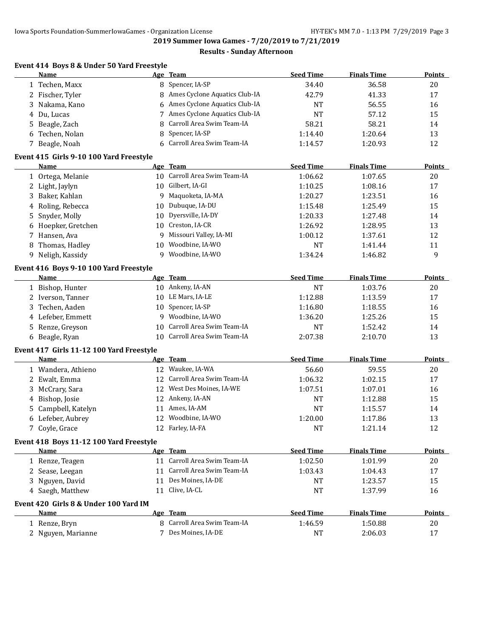**2019 Summer Iowa Games - 7/20/2019 to 7/21/2019**

|    | Event 414 Boys 8 & Under 50 Yard Freestyle<br>Name   |    | Age Team                      | <b>Seed Time</b> | <b>Finals Time</b> | <b>Points</b>       |
|----|------------------------------------------------------|----|-------------------------------|------------------|--------------------|---------------------|
|    | 1 Techen, Maxx                                       |    | 8 Spencer, IA-SP              | 34.40            | 36.58              | 20                  |
|    | 2 Fischer, Tyler                                     | 8  | Ames Cyclone Aquatics Club-IA | 42.79            | 41.33              | 17                  |
| 3  | Nakama, Kano                                         | 6  | Ames Cyclone Aquatics Club-IA | <b>NT</b>        | 56.55              | 16                  |
| 4  | Du, Lucas                                            | 7  | Ames Cyclone Aquatics Club-IA | <b>NT</b>        | 57.12              | 15                  |
| 5  | Beagle, Zach                                         | 8  | Carroll Area Swim Team-IA     | 58.21            | 58.21              | 14                  |
| 6  | Techen, Nolan                                        | 8  | Spencer, IA-SP                | 1:14.40          | 1:20.64            | 13                  |
|    | 7 Beagle, Noah                                       | 6  | Carroll Area Swim Team-IA     | 1:14.57          | 1:20.93            | 12                  |
|    | Event 415 Girls 9-10 100 Yard Freestyle              |    |                               |                  |                    |                     |
|    | Name                                                 |    | Age Team                      | <b>Seed Time</b> | <b>Finals Time</b> | Points              |
|    | 1 Ortega, Melanie                                    |    | 10 Carroll Area Swim Team-IA  | 1:06.62          | 1:07.65            | 20                  |
|    | 2 Light, Jaylyn                                      |    | 10 Gilbert, IA-GI             | 1:10.25          | 1:08.16            | 17                  |
| 3  | Baker, Kahlan                                        | 9  | Maquoketa, IA-MA              | 1:20.27          | 1:23.51            | 16                  |
| 4  | Roling, Rebecca                                      | 10 | Dubuque, IA-DU                | 1:15.48          | 1:25.49            | 15                  |
| 5  | Snyder, Molly                                        | 10 | Dyersville, IA-DY             | 1:20.33          | 1:27.48            | 14                  |
| 6  | Hoepker, Gretchen                                    | 10 | Creston, IA-CR                | 1:26.92          | 1:28.95            | 13                  |
| 7  | Hansen, Ava                                          | 9  | Missouri Valley, IA-MI        | 1:00.12          | 1:37.61            | 12                  |
| 8  | Thomas, Hadley                                       | 10 | Woodbine, IA-WO               | <b>NT</b>        | 1:41.44            | 11                  |
| 9  | Neligh, Kassidy                                      | 9  | Woodbine, IA-WO               | 1:34.24          | 1:46.82            | 9                   |
|    |                                                      |    |                               |                  |                    |                     |
|    | Event 416 Boys 9-10 100 Yard Freestyle               |    |                               |                  |                    |                     |
|    | <b>Name</b>                                          |    | Age Team                      | <b>Seed Time</b> | <b>Finals Time</b> | <b>Points</b>       |
|    | 1 Bishop, Hunter                                     |    | 10 Ankeny, IA-AN              | <b>NT</b>        | 1:03.76            | 20                  |
|    | 2 Iverson, Tanner                                    | 10 | LE Mars, IA-LE                | 1:12.88          | 1:13.59            | 17                  |
| 3  | Techen, Aaden                                        | 10 | Spencer, IA-SP                | 1:16.80          | 1:18.55            | 16                  |
| 4  | Lefeber, Emmett                                      | 9  | Woodbine, IA-WO               | 1:36.20          | 1:25.26            | 15                  |
| 5. | Renze, Greyson                                       | 10 | Carroll Area Swim Team-IA     | <b>NT</b>        | 1:52.42            | 14                  |
| 6  | Beagle, Ryan                                         | 10 | Carroll Area Swim Team-IA     | 2:07.38          | 2:10.70            | 13                  |
|    | Event 417 Girls 11-12 100 Yard Freestyle             |    |                               |                  |                    |                     |
|    | Name                                                 |    | Age Team                      | <b>Seed Time</b> | <b>Finals Time</b> | Points              |
|    | 1 Wandera, Athieno                                   |    | 12 Waukee, IA-WA              | 56.60            | 59.55              | $20\,$              |
|    | 2 Ewalt, Emma                                        | 12 | Carroll Area Swim Team-IA     | 1:06.32          | 1:02.15            | 17                  |
| 3  | McCrary, Sara                                        | 12 | West Des Moines, IA-WE        | 1:07.51          | 1:07.01            | 16                  |
| 4  | Bishop, Josie                                        | 12 | Ankeny, IA-AN                 | <b>NT</b>        | 1:12.88            | 15                  |
| 5  | Campbell, Katelyn                                    | 11 | Ames, IA-AM                   | <b>NT</b>        | 1:15.57            | 14                  |
| 6  | Lefeber, Aubrey                                      |    | 12 Woodbine, IA-WO            | 1:20.00          | 1:17.86            | 13                  |
|    | 7 Coyle, Grace                                       |    | 12 Farley, IA-FA              | <b>NT</b>        | 1:21.14            | 12                  |
|    | Event 418 Boys 11-12 100 Yard Freestyle              |    |                               |                  |                    |                     |
|    | <b>Name</b>                                          |    | Age Team                      | <b>Seed Time</b> | <b>Finals Time</b> | Points              |
|    | 1 Renze, Teagen                                      |    | 11 Carroll Area Swim Team-IA  | 1:02.50          | 1:01.99            | 20                  |
|    | 2 Sease, Leegan                                      |    | 11 Carroll Area Swim Team-IA  | 1:03.43          | 1:04.43            | 17                  |
| 3  | Nguyen, David                                        |    | 11 Des Moines, IA-DE          | NT               | 1:23.57            | 15                  |
|    | 4 Saegh, Matthew                                     |    | 11 Clive, IA-CL               | NT               | 1:37.99            | 16                  |
|    |                                                      |    |                               |                  |                    |                     |
|    |                                                      |    |                               |                  |                    |                     |
|    | Event 420 Girls 8 & Under 100 Yard IM<br><b>Name</b> |    | Age Team                      | <b>Seed Time</b> | <b>Finals Time</b> |                     |
|    | 1 Renze, Bryn                                        |    | 8 Carroll Area Swim Team-IA   | 1:46.59          | 1:50.88            | <b>Points</b><br>20 |